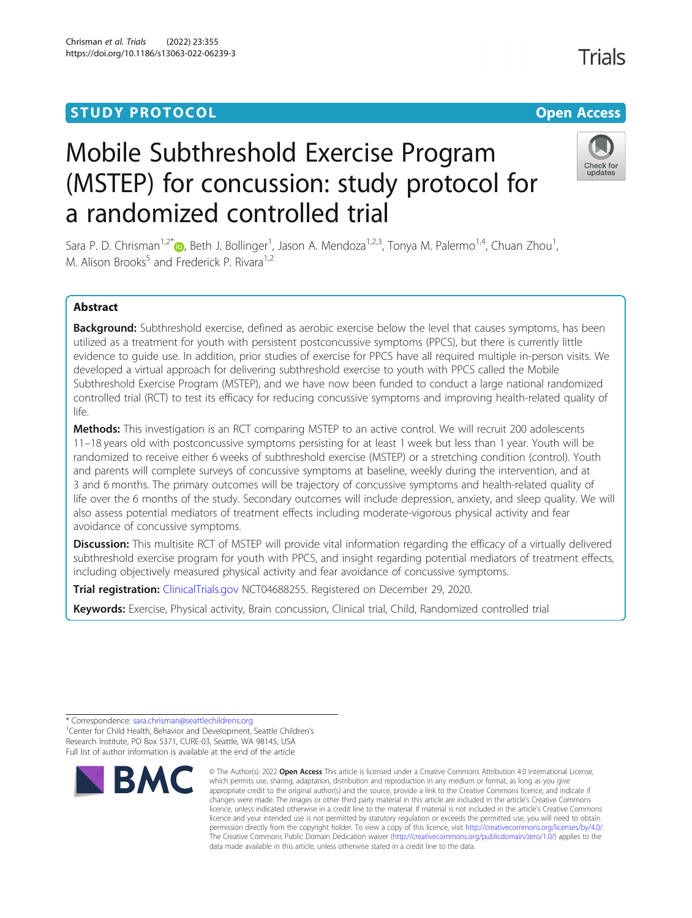# **STUDY PROTOCOL CONSUMING THE RESERVE ACCESS**

# Mobile Subthreshold Exercise Program (MSTEP) for concussion: study protocol for a randomized controlled trial

Sara P. D. Chrisman<sup>1[,](http://orcid.org/0000-0001-5373-7223)2\*</sup>@, Beth J. Bollinger<sup>1</sup>, Jason A. Mendoza<sup>1,2,3</sup>, Tonya M. Palermo<sup>1,4</sup>, Chuan Zhou<sup>1</sup> , M. Alison Brooks<sup>5</sup> and Frederick P. Rivara<sup>1,2</sup>

# Abstract

Background: Subthreshold exercise, defined as aerobic exercise below the level that causes symptoms, has been utilized as a treatment for youth with persistent postconcussive symptoms (PPCS), but there is currently little evidence to guide use. In addition, prior studies of exercise for PPCS have all required multiple in-person visits. We developed a virtual approach for delivering subthreshold exercise to youth with PPCS called the Mobile Subthreshold Exercise Program (MSTEP), and we have now been funded to conduct a large national randomized controlled trial (RCT) to test its efficacy for reducing concussive symptoms and improving health-related quality of life.

Methods: This investigation is an RCT comparing MSTEP to an active control. We will recruit 200 adolescents 11–18 years old with postconcussive symptoms persisting for at least 1 week but less than 1 year. Youth will be randomized to receive either 6 weeks of subthreshold exercise (MSTEP) or a stretching condition (control). Youth and parents will complete surveys of concussive symptoms at baseline, weekly during the intervention, and at 3 and 6 months. The primary outcomes will be trajectory of concussive symptoms and health-related quality of life over the 6 months of the study. Secondary outcomes will include depression, anxiety, and sleep quality. We will also assess potential mediators of treatment effects including moderate-vigorous physical activity and fear avoidance of concussive symptoms.

**Discussion:** This multisite RCT of MSTEP will provide vital information regarding the efficacy of a virtually delivered subthreshold exercise program for youth with PPCS, and insight regarding potential mediators of treatment effects, including objectively measured physical activity and fear avoidance of concussive symptoms.

**Trial registration:** [ClinicalTrials.gov](http://clinicaltrials.gov) NCT04688255. Registered on December 29, 2020.

Keywords: Exercise, Physical activity, Brain concussion, Clinical trial, Child, Randomized controlled trial

<sup>1</sup> Center for Child Health, Behavior and Development, Seattle Children's Research Institute, PO Box 5371, CURE-03, Seattle, WA 98145, USA Full list of author information is available at the end of the article





<sup>\*</sup> Correspondence: [sara.chrisman@seattlechildrens.org](mailto:sara.chrisman@seattlechildrens.org) <sup>1</sup>

Check for updates

<sup>©</sup> The Author(s), 2022 **Open Access** This article is licensed under a Creative Commons Attribution 4.0 International License, which permits use, sharing, adaptation, distribution and reproduction in any medium or format, as long as you give appropriate credit to the original author(s) and the source, provide a link to the Creative Commons licence, and indicate if changes were made. The images or other third party material in this article are included in the article's Creative Commons licence, unless indicated otherwise in a credit line to the material. If material is not included in the article's Creative Commons licence and your intended use is not permitted by statutory regulation or exceeds the permitted use, you will need to obtain permission directly from the copyright holder. To view a copy of this licence, visit [http://creativecommons.org/licenses/by/4.0/.](http://creativecommons.org/licenses/by/4.0/) The Creative Commons Public Domain Dedication waiver [\(http://creativecommons.org/publicdomain/zero/1.0/](http://creativecommons.org/publicdomain/zero/1.0/)) applies to the data made available in this article, unless otherwise stated in a credit line to the data.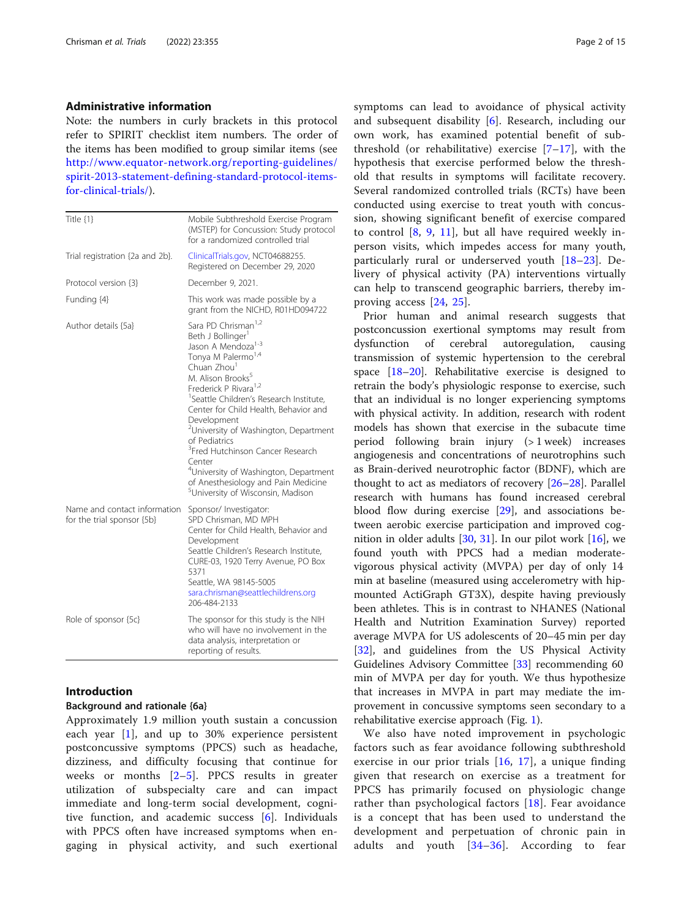#### Administrative information

Note: the numbers in curly brackets in this protocol refer to SPIRIT checklist item numbers. The order of the items has been modified to group similar items (see [http://www.equator-network.org/reporting-guidelines/](http://www.equator-network.org/reporting-guidelines/spirit-2013-statement-defining-standard-protocol-items-for-clinical-trials/) [spirit-2013-statement-defining-standard-protocol-items](http://www.equator-network.org/reporting-guidelines/spirit-2013-statement-defining-standard-protocol-items-for-clinical-trials/)[for-clinical-trials/](http://www.equator-network.org/reporting-guidelines/spirit-2013-statement-defining-standard-protocol-items-for-clinical-trials/)).

| Title {1}                                                  | Mobile Subthreshold Exercise Program<br>(MSTEP) for Concussion: Study protocol<br>for a randomized controlled trial                                                                                                                                                                                                                                                                                                                                                                                                                                                                                                  |
|------------------------------------------------------------|----------------------------------------------------------------------------------------------------------------------------------------------------------------------------------------------------------------------------------------------------------------------------------------------------------------------------------------------------------------------------------------------------------------------------------------------------------------------------------------------------------------------------------------------------------------------------------------------------------------------|
| Trial registration {2a and 2b}.                            | ClinicalTrials.gov, NCT04688255.<br>Registered on December 29, 2020                                                                                                                                                                                                                                                                                                                                                                                                                                                                                                                                                  |
| Protocol version {3}                                       | December 9, 2021.                                                                                                                                                                                                                                                                                                                                                                                                                                                                                                                                                                                                    |
| Funding {4}                                                | This work was made possible by a<br>grant from the NICHD, R01HD094722                                                                                                                                                                                                                                                                                                                                                                                                                                                                                                                                                |
| Author details {5a}                                        | Sara PD Chrisman <sup>1,2</sup><br>Beth J Bollinger <sup>1</sup><br>Jason A Mendoza <sup>1-3</sup><br>Tonya M Palermo <sup>1,4</sup><br>Chuan Zhou <sup>1</sup><br>M. Alison Brooks <sup>5</sup><br>Frederick P Rivara <sup>1,2</sup><br><sup>1</sup> Seattle Children's Research Institute,<br>Center for Child Health, Behavior and<br>Development<br>University of Washington, Department<br>of Pediatrics<br><sup>3</sup> Fred Hutchinson Cancer Research<br>Center<br><sup>4</sup> University of Washington, Department<br>of Anesthesiology and Pain Medicine<br><sup>5</sup> University of Wisconsin, Madison |
| Name and contact information<br>for the trial sponsor {5b} | Sponsor/ Investigator:<br>SPD Chrisman, MD MPH<br>Center for Child Health, Behavior and<br>Development<br>Seattle Children's Research Institute,<br>CURE-03, 1920 Terry Avenue, PO Box<br>5371<br>Seattle, WA 98145-5005<br>sara.chrisman@seattlechildrens.org<br>206-484-2133                                                                                                                                                                                                                                                                                                                                       |
| Role of sponsor {5c}                                       | The sponsor for this study is the NIH<br>who will have no involvement in the<br>data analysis, interpretation or<br>reporting of results.                                                                                                                                                                                                                                                                                                                                                                                                                                                                            |

# Introduction

#### Background and rationale {6a}

Approximately 1.9 million youth sustain a concussion each year [[1\]](#page-11-0), and up to 30% experience persistent postconcussive symptoms (PPCS) such as headache, dizziness, and difficulty focusing that continue for weeks or months [\[2](#page-11-0)–[5](#page-11-0)]. PPCS results in greater utilization of subspecialty care and can impact immediate and long-term social development, cognitive function, and academic success [[6](#page-11-0)]. Individuals with PPCS often have increased symptoms when engaging in physical activity, and such exertional symptoms can lead to avoidance of physical activity and subsequent disability [\[6](#page-11-0)]. Research, including our own work, has examined potential benefit of subthreshold (or rehabilitative) exercise  $[7-17]$  $[7-17]$  $[7-17]$ , with the hypothesis that exercise performed below the threshold that results in symptoms will facilitate recovery. Several randomized controlled trials (RCTs) have been conducted using exercise to treat youth with concussion, showing significant benefit of exercise compared to control  $[8, 9, 11]$  $[8, 9, 11]$  $[8, 9, 11]$  $[8, 9, 11]$  $[8, 9, 11]$ , but all have required weekly inperson visits, which impedes access for many youth, particularly rural or underserved youth [\[18](#page-12-0)–[23](#page-12-0)]. Delivery of physical activity (PA) interventions virtually can help to transcend geographic barriers, thereby improving access [\[24](#page-12-0), [25\]](#page-12-0).

Prior human and animal research suggests that postconcussion exertional symptoms may result from dysfunction of cerebral autoregulation, causing transmission of systemic hypertension to the cerebral space [[18](#page-12-0)–[20](#page-12-0)]. Rehabilitative exercise is designed to retrain the body's physiologic response to exercise, such that an individual is no longer experiencing symptoms with physical activity. In addition, research with rodent models has shown that exercise in the subacute time period following brain injury (> 1 week) increases angiogenesis and concentrations of neurotrophins such as Brain-derived neurotrophic factor (BDNF), which are thought to act as mediators of recovery [\[26](#page-12-0)–[28\]](#page-12-0). Parallel research with humans has found increased cerebral blood flow during exercise [\[29\]](#page-12-0), and associations between aerobic exercise participation and improved cognition in older adults [\[30,](#page-12-0) [31\]](#page-12-0). In our pilot work [\[16\]](#page-12-0), we found youth with PPCS had a median moderatevigorous physical activity (MVPA) per day of only 14 min at baseline (measured using accelerometry with hipmounted ActiGraph GT3X), despite having previously been athletes. This is in contrast to NHANES (National Health and Nutrition Examination Survey) reported average MVPA for US adolescents of 20–45 min per day [[32\]](#page-12-0), and guidelines from the US Physical Activity Guidelines Advisory Committee [[33](#page-12-0)] recommending 60 min of MVPA per day for youth. We thus hypothesize that increases in MVPA in part may mediate the improvement in concussive symptoms seen secondary to a rehabilitative exercise approach (Fig. [1\)](#page-7-0).

We also have noted improvement in psychologic factors such as fear avoidance following subthreshold exercise in our prior trials [[16](#page-12-0), [17](#page-12-0)], a unique finding given that research on exercise as a treatment for PPCS has primarily focused on physiologic change rather than psychological factors [[18\]](#page-12-0). Fear avoidance is a concept that has been used to understand the development and perpetuation of chronic pain in adults and youth  $[34-36]$  $[34-36]$  $[34-36]$  $[34-36]$  $[34-36]$ . According to fear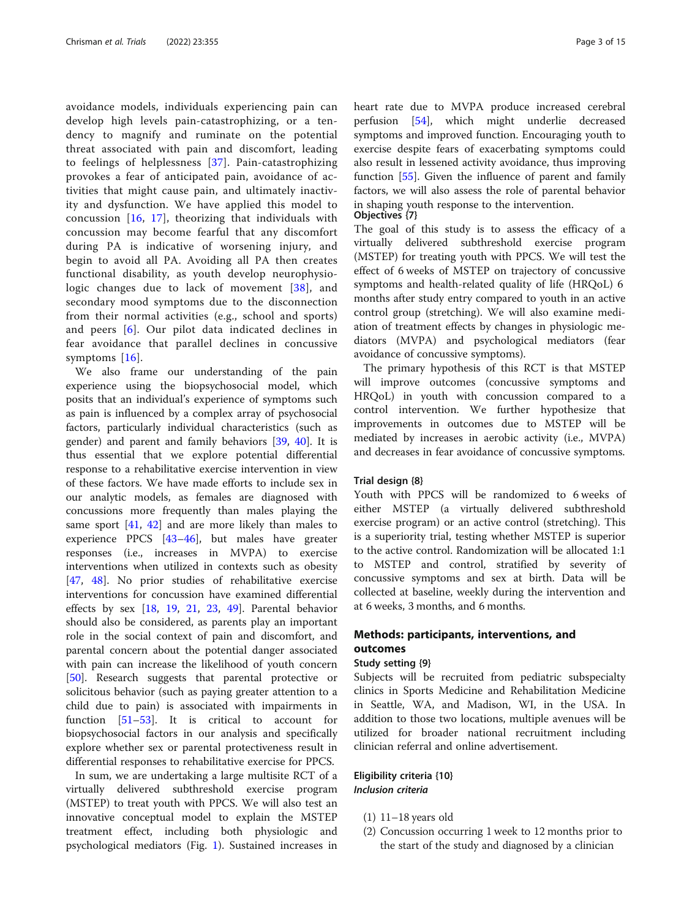avoidance models, individuals experiencing pain can develop high levels pain-catastrophizing, or a tendency to magnify and ruminate on the potential threat associated with pain and discomfort, leading to feelings of helplessness [[37](#page-12-0)]. Pain-catastrophizing provokes a fear of anticipated pain, avoidance of activities that might cause pain, and ultimately inactivity and dysfunction. We have applied this model to concussion [\[16,](#page-12-0) [17](#page-12-0)], theorizing that individuals with concussion may become fearful that any discomfort during PA is indicative of worsening injury, and begin to avoid all PA. Avoiding all PA then creates functional disability, as youth develop neurophysiologic changes due to lack of movement [[38](#page-12-0)], and secondary mood symptoms due to the disconnection from their normal activities (e.g., school and sports) and peers [\[6\]](#page-11-0). Our pilot data indicated declines in fear avoidance that parallel declines in concussive symptoms [\[16\]](#page-12-0).

We also frame our understanding of the pain experience using the biopsychosocial model, which posits that an individual's experience of symptoms such as pain is influenced by a complex array of psychosocial factors, particularly individual characteristics (such as gender) and parent and family behaviors [\[39](#page-12-0), [40\]](#page-12-0). It is thus essential that we explore potential differential response to a rehabilitative exercise intervention in view of these factors. We have made efforts to include sex in our analytic models, as females are diagnosed with concussions more frequently than males playing the same sport  $[41, 42]$  $[41, 42]$  $[41, 42]$  and are more likely than males to experience PPCS [[43](#page-12-0)–[46](#page-12-0)], but males have greater responses (i.e., increases in MVPA) to exercise interventions when utilized in contexts such as obesity [[47,](#page-13-0) [48\]](#page-13-0). No prior studies of rehabilitative exercise interventions for concussion have examined differential effects by sex [\[18,](#page-12-0) [19,](#page-12-0) [21](#page-12-0), [23,](#page-12-0) [49](#page-13-0)]. Parental behavior should also be considered, as parents play an important role in the social context of pain and discomfort, and parental concern about the potential danger associated with pain can increase the likelihood of youth concern [[50\]](#page-13-0). Research suggests that parental protective or solicitous behavior (such as paying greater attention to a child due to pain) is associated with impairments in function [[51](#page-13-0)–[53](#page-13-0)]. It is critical to account for biopsychosocial factors in our analysis and specifically explore whether sex or parental protectiveness result in differential responses to rehabilitative exercise for PPCS.

In sum, we are undertaking a large multisite RCT of a virtually delivered subthreshold exercise program (MSTEP) to treat youth with PPCS. We will also test an innovative conceptual model to explain the MSTEP treatment effect, including both physiologic and psychological mediators (Fig. [1\)](#page-7-0). Sustained increases in heart rate due to MVPA produce increased cerebral perfusion [\[54](#page-13-0)], which might underlie decreased symptoms and improved function. Encouraging youth to exercise despite fears of exacerbating symptoms could also result in lessened activity avoidance, thus improving function [\[55](#page-13-0)]. Given the influence of parent and family factors, we will also assess the role of parental behavior in shaping youth response to the intervention.

#### Objectives {7}

The goal of this study is to assess the efficacy of a virtually delivered subthreshold exercise program (MSTEP) for treating youth with PPCS. We will test the effect of 6 weeks of MSTEP on trajectory of concussive symptoms and health-related quality of life (HRQoL) 6 months after study entry compared to youth in an active control group (stretching). We will also examine mediation of treatment effects by changes in physiologic mediators (MVPA) and psychological mediators (fear avoidance of concussive symptoms).

The primary hypothesis of this RCT is that MSTEP will improve outcomes (concussive symptoms and HRQoL) in youth with concussion compared to a control intervention. We further hypothesize that improvements in outcomes due to MSTEP will be mediated by increases in aerobic activity (i.e., MVPA) and decreases in fear avoidance of concussive symptoms.

#### Trial design {8}

Youth with PPCS will be randomized to 6 weeks of either MSTEP (a virtually delivered subthreshold exercise program) or an active control (stretching). This is a superiority trial, testing whether MSTEP is superior to the active control. Randomization will be allocated 1:1 to MSTEP and control, stratified by severity of concussive symptoms and sex at birth. Data will be collected at baseline, weekly during the intervention and at 6 weeks, 3 months, and 6 months.

# Methods: participants, interventions, and outcomes

#### Study setting {9}

Subjects will be recruited from pediatric subspecialty clinics in Sports Medicine and Rehabilitation Medicine in Seattle, WA, and Madison, WI, in the USA. In addition to those two locations, multiple avenues will be utilized for broader national recruitment including clinician referral and online advertisement.

## Eligibility criteria {10} Inclusion criteria

- (1) 11–18 years old
- (2) Concussion occurring 1 week to 12 months prior to the start of the study and diagnosed by a clinician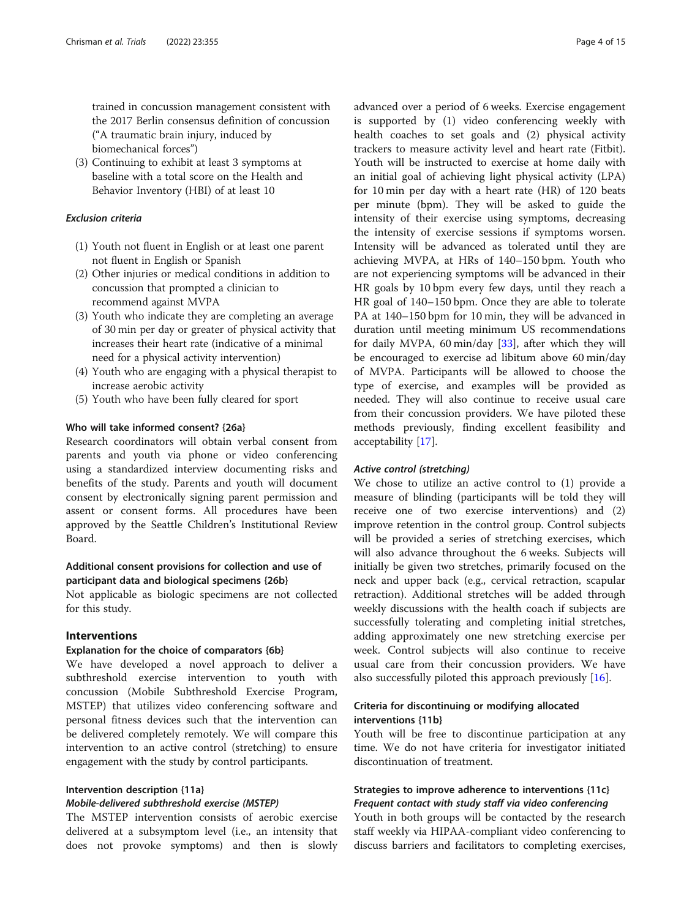trained in concussion management consistent with the 2017 Berlin consensus definition of concussion ("A traumatic brain injury, induced by biomechanical forces")

(3) Continuing to exhibit at least 3 symptoms at baseline with a total score on the Health and Behavior Inventory (HBI) of at least 10

#### Exclusion criteria

- (1) Youth not fluent in English or at least one parent not fluent in English or Spanish
- (2) Other injuries or medical conditions in addition to concussion that prompted a clinician to recommend against MVPA
- (3) Youth who indicate they are completing an average of 30 min per day or greater of physical activity that increases their heart rate (indicative of a minimal need for a physical activity intervention)
- (4) Youth who are engaging with a physical therapist to increase aerobic activity
- (5) Youth who have been fully cleared for sport

# Who will take informed consent? {26a}

Research coordinators will obtain verbal consent from parents and youth via phone or video conferencing using a standardized interview documenting risks and benefits of the study. Parents and youth will document consent by electronically signing parent permission and assent or consent forms. All procedures have been approved by the Seattle Children's Institutional Review Board.

# Additional consent provisions for collection and use of participant data and biological specimens {26b}

Not applicable as biologic specimens are not collected for this study.

#### Interventions

#### Explanation for the choice of comparators {6b}

We have developed a novel approach to deliver a subthreshold exercise intervention to youth with concussion (Mobile Subthreshold Exercise Program, MSTEP) that utilizes video conferencing software and personal fitness devices such that the intervention can be delivered completely remotely. We will compare this intervention to an active control (stretching) to ensure engagement with the study by control participants.

# Intervention description {11a}

#### Mobile-delivered subthreshold exercise (MSTEP)

The MSTEP intervention consists of aerobic exercise delivered at a subsymptom level (i.e., an intensity that does not provoke symptoms) and then is slowly advanced over a period of 6 weeks. Exercise engagement is supported by (1) video conferencing weekly with health coaches to set goals and (2) physical activity trackers to measure activity level and heart rate (Fitbit). Youth will be instructed to exercise at home daily with an initial goal of achieving light physical activity (LPA) for 10 min per day with a heart rate (HR) of 120 beats per minute (bpm). They will be asked to guide the intensity of their exercise using symptoms, decreasing the intensity of exercise sessions if symptoms worsen. Intensity will be advanced as tolerated until they are achieving MVPA, at HRs of 140–150 bpm. Youth who are not experiencing symptoms will be advanced in their HR goals by 10 bpm every few days, until they reach a HR goal of 140–150 bpm. Once they are able to tolerate PA at 140–150 bpm for 10 min, they will be advanced in duration until meeting minimum US recommendations for daily MVPA, 60 min/day [[33](#page-12-0)], after which they will be encouraged to exercise ad libitum above 60 min/day of MVPA. Participants will be allowed to choose the type of exercise, and examples will be provided as needed. They will also continue to receive usual care from their concussion providers. We have piloted these methods previously, finding excellent feasibility and acceptability [[17](#page-12-0)].

# Active control (stretching)

We chose to utilize an active control to (1) provide a measure of blinding (participants will be told they will receive one of two exercise interventions) and (2) improve retention in the control group. Control subjects will be provided a series of stretching exercises, which will also advance throughout the 6 weeks. Subjects will initially be given two stretches, primarily focused on the neck and upper back (e.g., cervical retraction, scapular retraction). Additional stretches will be added through weekly discussions with the health coach if subjects are successfully tolerating and completing initial stretches, adding approximately one new stretching exercise per week. Control subjects will also continue to receive usual care from their concussion providers. We have also successfully piloted this approach previously [\[16](#page-12-0)].

# Criteria for discontinuing or modifying allocated interventions {11b}

Youth will be free to discontinue participation at any time. We do not have criteria for investigator initiated discontinuation of treatment.

# Strategies to improve adherence to interventions {11c} Frequent contact with study staff via video conferencing

Youth in both groups will be contacted by the research staff weekly via HIPAA-compliant video conferencing to discuss barriers and facilitators to completing exercises,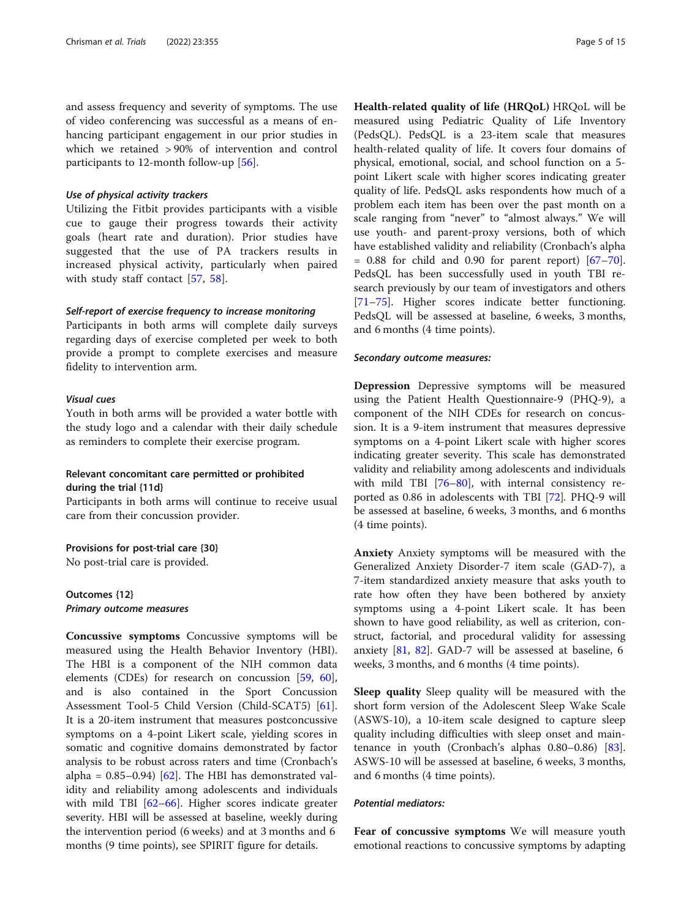and assess frequency and severity of symptoms. The use of video conferencing was successful as a means of enhancing participant engagement in our prior studies in which we retained > 90% of intervention and control participants to 12-month follow-up [[56](#page-13-0)].

#### Use of physical activity trackers

Utilizing the Fitbit provides participants with a visible cue to gauge their progress towards their activity goals (heart rate and duration). Prior studies have suggested that the use of PA trackers results in increased physical activity, particularly when paired with study staff contact [\[57](#page-13-0), [58\]](#page-13-0).

#### Self-report of exercise frequency to increase monitoring

Participants in both arms will complete daily surveys regarding days of exercise completed per week to both provide a prompt to complete exercises and measure fidelity to intervention arm.

#### Visual cues

Youth in both arms will be provided a water bottle with the study logo and a calendar with their daily schedule as reminders to complete their exercise program.

# Relevant concomitant care permitted or prohibited during the trial {11d}

Participants in both arms will continue to receive usual care from their concussion provider.

#### Provisions for post-trial care {30}

No post-trial care is provided.

Outcomes {12} Primary outcome measures

Concussive symptoms Concussive symptoms will be measured using the Health Behavior Inventory (HBI). The HBI is a component of the NIH common data elements (CDEs) for research on concussion [\[59](#page-13-0), [60](#page-13-0)], and is also contained in the Sport Concussion Assessment Tool-5 Child Version (Child-SCAT5) [\[61](#page-13-0)]. It is a 20-item instrument that measures postconcussive symptoms on a 4-point Likert scale, yielding scores in somatic and cognitive domains demonstrated by factor analysis to be robust across raters and time (Cronbach's alpha =  $0.85-0.94$ ) [[62](#page-13-0)]. The HBI has demonstrated validity and reliability among adolescents and individuals with mild TBI  $[62-66]$  $[62-66]$  $[62-66]$ . Higher scores indicate greater severity. HBI will be assessed at baseline, weekly during the intervention period (6 weeks) and at 3 months and 6 months (9 time points), see SPIRIT figure for details.

Health-related quality of life (HRQoL) HRQoL will be measured using Pediatric Quality of Life Inventory (PedsQL). PedsQL is a 23-item scale that measures health-related quality of life. It covers four domains of physical, emotional, social, and school function on a 5 point Likert scale with higher scores indicating greater quality of life. PedsQL asks respondents how much of a problem each item has been over the past month on a scale ranging from "never" to "almost always." We will use youth- and parent-proxy versions, both of which have established validity and reliability (Cronbach's alpha  $= 0.88$  for child and 0.90 for parent report)  $[67-70]$  $[67-70]$  $[67-70]$  $[67-70]$  $[67-70]$ . PedsQL has been successfully used in youth TBI research previously by our team of investigators and others [[71](#page-13-0)–[75](#page-13-0)]. Higher scores indicate better functioning. PedsQL will be assessed at baseline, 6 weeks, 3 months, and 6 months (4 time points).

#### Secondary outcome measures:

Depression Depressive symptoms will be measured using the Patient Health Questionnaire-9 (PHQ-9), a component of the NIH CDEs for research on concussion. It is a 9-item instrument that measures depressive symptoms on a 4-point Likert scale with higher scores indicating greater severity. This scale has demonstrated validity and reliability among adolescents and individuals with mild TBI [[76](#page-13-0)–[80\]](#page-13-0), with internal consistency reported as 0.86 in adolescents with TBI [[72](#page-13-0)]. PHQ-9 will be assessed at baseline, 6 weeks, 3 months, and 6 months (4 time points).

Anxiety Anxiety symptoms will be measured with the Generalized Anxiety Disorder-7 item scale (GAD-7), a 7-item standardized anxiety measure that asks youth to rate how often they have been bothered by anxiety symptoms using a 4-point Likert scale. It has been shown to have good reliability, as well as criterion, construct, factorial, and procedural validity for assessing anxiety [\[81](#page-13-0), [82](#page-13-0)]. GAD-7 will be assessed at baseline, 6 weeks, 3 months, and 6 months (4 time points).

**Sleep quality** Sleep quality will be measured with the short form version of the Adolescent Sleep Wake Scale (ASWS-10), a 10-item scale designed to capture sleep quality including difficulties with sleep onset and maintenance in youth (Cronbach's alphas  $0.80-0.86$ ) [\[83](#page-14-0)]. ASWS-10 will be assessed at baseline, 6 weeks, 3 months, and 6 months (4 time points).

#### Potential mediators:

Fear of concussive symptoms We will measure youth emotional reactions to concussive symptoms by adapting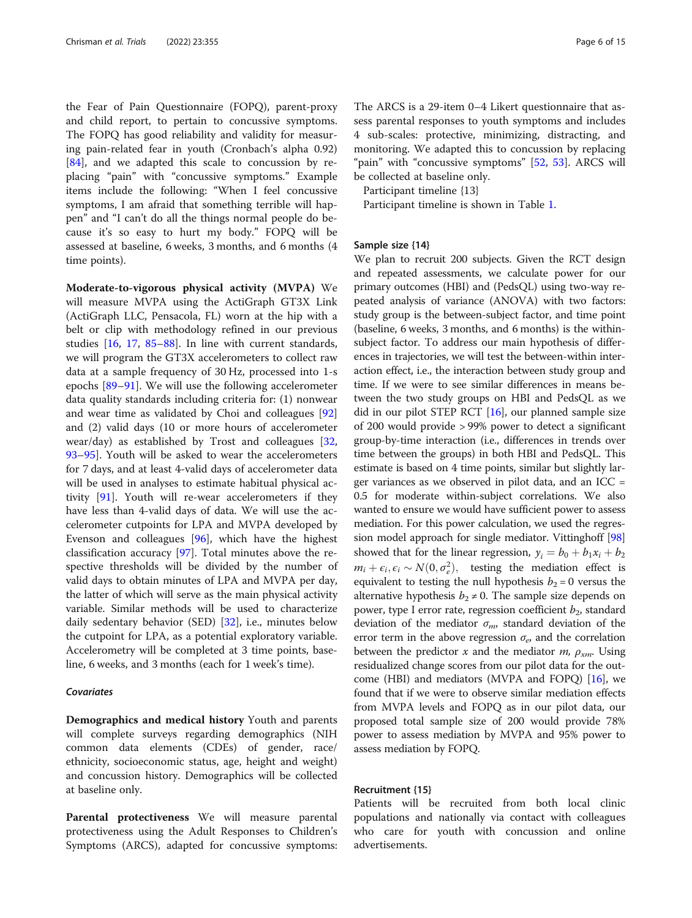the Fear of Pain Questionnaire (FOPQ), parent-proxy and child report, to pertain to concussive symptoms. The FOPQ has good reliability and validity for measuring pain-related fear in youth (Cronbach's alpha 0.92) [[84\]](#page-14-0), and we adapted this scale to concussion by replacing "pain" with "concussive symptoms." Example items include the following: "When I feel concussive symptoms, I am afraid that something terrible will happen" and "I can't do all the things normal people do because it's so easy to hurt my body." FOPQ will be assessed at baseline, 6 weeks, 3 months, and 6 months (4 time points).

Moderate-to-vigorous physical activity (MVPA) We will measure MVPA using the ActiGraph GT3X Link (ActiGraph LLC, Pensacola, FL) worn at the hip with a belt or clip with methodology refined in our previous studies [\[16](#page-12-0), [17,](#page-12-0) [85](#page-14-0)–[88\]](#page-14-0). In line with current standards, we will program the GT3X accelerometers to collect raw data at a sample frequency of 30 Hz, processed into 1-s epochs [\[89](#page-14-0)–[91\]](#page-14-0). We will use the following accelerometer data quality standards including criteria for: (1) nonwear and wear time as validated by Choi and colleagues [[92](#page-14-0)] and (2) valid days (10 or more hours of accelerometer wear/day) as established by Trost and colleagues [[32](#page-12-0), [93](#page-14-0)–[95](#page-14-0)]. Youth will be asked to wear the accelerometers for 7 days, and at least 4-valid days of accelerometer data will be used in analyses to estimate habitual physical activity [\[91\]](#page-14-0). Youth will re-wear accelerometers if they have less than 4-valid days of data. We will use the accelerometer cutpoints for LPA and MVPA developed by Evenson and colleagues [[96](#page-14-0)], which have the highest classification accuracy [\[97](#page-14-0)]. Total minutes above the respective thresholds will be divided by the number of valid days to obtain minutes of LPA and MVPA per day, the latter of which will serve as the main physical activity variable. Similar methods will be used to characterize daily sedentary behavior (SED) [\[32\]](#page-12-0), i.e., minutes below the cutpoint for LPA, as a potential exploratory variable. Accelerometry will be completed at 3 time points, baseline, 6 weeks, and 3 months (each for 1 week's time).

#### Covariates

Demographics and medical history Youth and parents will complete surveys regarding demographics (NIH common data elements (CDEs) of gender, race/ ethnicity, socioeconomic status, age, height and weight) and concussion history. Demographics will be collected at baseline only.

Parental protectiveness We will measure parental protectiveness using the Adult Responses to Children's Symptoms (ARCS), adapted for concussive symptoms:

The ARCS is a 29-item 0–4 Likert questionnaire that assess parental responses to youth symptoms and includes 4 sub-scales: protective, minimizing, distracting, and monitoring. We adapted this to concussion by replacing "pain" with "concussive symptoms" [[52,](#page-13-0) [53\]](#page-13-0). ARCS will be collected at baseline only.

Participant timeline {13}

Participant timeline is shown in Table [1.](#page-6-0)

#### Sample size {14}

We plan to recruit 200 subjects. Given the RCT design and repeated assessments, we calculate power for our primary outcomes (HBI) and (PedsQL) using two-way repeated analysis of variance (ANOVA) with two factors: study group is the between-subject factor, and time point (baseline, 6 weeks, 3 months, and 6 months) is the withinsubject factor. To address our main hypothesis of differences in trajectories, we will test the between-within interaction effect, i.e., the interaction between study group and time. If we were to see similar differences in means between the two study groups on HBI and PedsQL as we did in our pilot STEP RCT [[16](#page-12-0)], our planned sample size of 200 would provide > 99% power to detect a significant group-by-time interaction (i.e., differences in trends over time between the groups) in both HBI and PedsQL. This estimate is based on 4 time points, similar but slightly larger variances as we observed in pilot data, and an  $ICC =$ 0.5 for moderate within-subject correlations. We also wanted to ensure we would have sufficient power to assess mediation. For this power calculation, we used the regression model approach for single mediator. Vittinghoff [[98](#page-14-0)] showed that for the linear regression,  $y_i = b_0 + b_1x_i + b_2$  $m_i + \epsilon_i, \epsilon_i \sim N(0, \sigma_e^2)$ , testing the mediation effect is equivalent to testing the null hypothesis  $b_2 = 0$  versus the alternative hypothesis  $b_2 \neq 0$ . The sample size depends on power, type I error rate, regression coefficient  $b_2$ , standard deviation of the mediator  $\sigma_m$ , standard deviation of the error term in the above regression  $\sigma_e$ , and the correlation between the predictor x and the mediator  $m$ ,  $\rho_{xm}$ . Using residualized change scores from our pilot data for the outcome (HBI) and mediators (MVPA and FOPQ) [[16](#page-12-0)], we found that if we were to observe similar mediation effects from MVPA levels and FOPQ as in our pilot data, our proposed total sample size of 200 would provide 78% power to assess mediation by MVPA and 95% power to assess mediation by FOPQ.

# Recruitment {15}

Patients will be recruited from both local clinic populations and nationally via contact with colleagues who care for youth with concussion and online advertisements.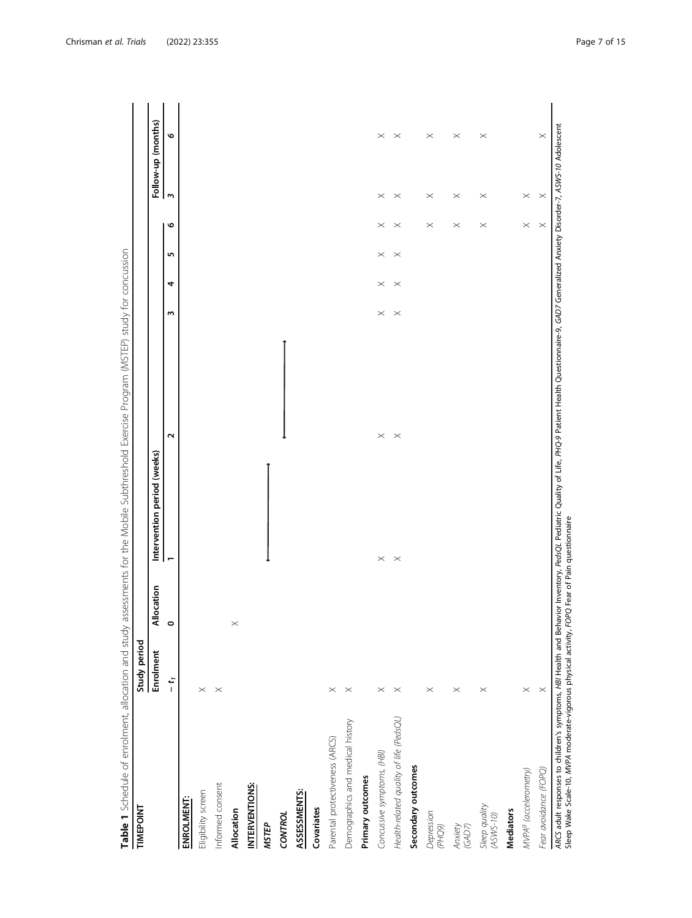<span id="page-6-0"></span>

| TIMEPOINT                               | Study period |             |                             |             |                       |          |          |          |                    |             |
|-----------------------------------------|--------------|-------------|-----------------------------|-------------|-----------------------|----------|----------|----------|--------------------|-------------|
|                                         | Enrolment    | Allocation  | Intervention period (weeks) |             |                       |          |          |          | Follow-up (months) |             |
|                                         | $-1$         | $\circ$     | $\overline{\phantom{0}}$    | $\sim$      | ω                     | 4        | 5        | ڡ        | $\mathsf{m}$       | Ο           |
| ENROLMENT:                              |              |             |                             |             |                       |          |          |          |                    |             |
| Eligibility screen                      | $\times$     |             |                             |             |                       |          |          |          |                    |             |
| Informed consent                        | $\times$     |             |                             |             |                       |          |          |          |                    |             |
| Allocation                              |              | $\! \times$ |                             |             |                       |          |          |          |                    |             |
| INTERVENTIONS:                          |              |             |                             |             |                       |          |          |          |                    |             |
| <b>MSTEP</b>                            |              |             |                             |             |                       |          |          |          |                    |             |
| CONTROL                                 |              |             |                             |             |                       |          |          |          |                    |             |
| ASSESSMENTS:                            |              |             |                             |             |                       |          |          |          |                    |             |
| Covariates                              |              |             |                             |             |                       |          |          |          |                    |             |
| Parental protectiveness (ARCS)          | $\times$     |             |                             |             |                       |          |          |          |                    |             |
| Demographics and medical history        | $\times$     |             |                             |             |                       |          |          |          |                    |             |
| Primary outcomes                        |              |             |                             |             |                       |          |          |          |                    |             |
| Concussive symptoms, (HBI)              | $\times$     |             | $\times$                    | $\! \times$ | $\times$              | $\times$ | $\times$ | $\times$ | $\times$           | $\times$    |
| Health-related quality of life (PedsQL) | $\times$     |             | $\times$                    | $\times$    | $\boldsymbol{\times}$ | $\times$ | $\times$ | $\times$ | $\times$           | $\! \times$ |
| Secondary outcomes                      |              |             |                             |             |                       |          |          |          |                    |             |
| Depression<br>(PHO9)                    | $\times$     |             |                             |             |                       |          |          | $\times$ | $\times$           | $\times$    |
| Anxiety<br>(GAD7)                       | $\times$     |             |                             |             |                       |          |          | $\times$ | $\times$           | $\! \times$ |
| Sleep quality<br>$(ASWS-10)$            | $\times$     |             |                             |             |                       |          |          | $\times$ | $\times$           | $\times$    |
| <b>Mediators</b>                        |              |             |                             |             |                       |          |          |          |                    |             |
| MVPA <sup>9</sup> (accelerometry)       | $\times$     |             |                             |             |                       |          |          | $\times$ | $\times$           |             |
| Fear avoidance (FOPQ)                   | $\times$     |             |                             |             |                       |          |          | $\times$ | $\times$           | $\times$    |

Table 1 Schedule of enrolment, allocation and study assessments for the Mobile Subthreshold Exercise Program (MSTEP) study for concussion

Sleep Wake Scale-10, MVPA moderate-vigorous physical activity, FOPQ Fear of Pain questionnaire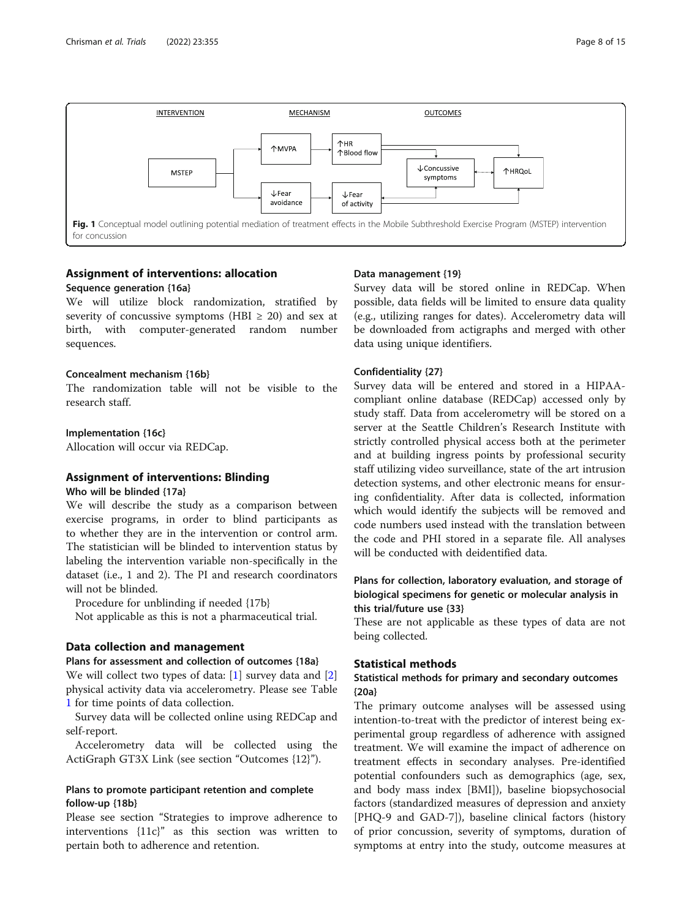<span id="page-7-0"></span>

# Assignment of interventions: allocation

# Sequence generation {16a}

We will utilize block randomization, stratified by severity of concussive symptoms (HBI  $\geq$  20) and sex at birth, with computer-generated random number sequences.

# Concealment mechanism {16b}

The randomization table will not be visible to the research staff.

# Implementation {16c}

Allocation will occur via REDCap.

# Assignment of interventions: Blinding

#### Who will be blinded {17a}

We will describe the study as a comparison between exercise programs, in order to blind participants as to whether they are in the intervention or control arm. The statistician will be blinded to intervention status by labeling the intervention variable non-specifically in the dataset (i.e., 1 and 2). The PI and research coordinators will not be blinded.

Procedure for unblinding if needed {17b}

Not applicable as this is not a pharmaceutical trial.

# Data collection and management

#### Plans for assessment and collection of outcomes {18a}

We will collect two types of data: [\[1](#page-11-0)] survey data and [\[2](#page-11-0)] physical activity data via accelerometry. Please see Table [1](#page-6-0) for time points of data collection.

Survey data will be collected online using REDCap and self-report.

Accelerometry data will be collected using the ActiGraph GT3X Link (see section "Outcomes {12}").

# Plans to promote participant retention and complete follow-up {18b}

Please see section "Strategies to improve adherence to interventions  ${11c}$  as this section was written to pertain both to adherence and retention.

# Data management {19}

Survey data will be stored online in REDCap. When possible, data fields will be limited to ensure data quality (e.g., utilizing ranges for dates). Accelerometry data will be downloaded from actigraphs and merged with other data using unique identifiers.

# Confidentiality {27}

Survey data will be entered and stored in a HIPAAcompliant online database (REDCap) accessed only by study staff. Data from accelerometry will be stored on a server at the Seattle Children's Research Institute with strictly controlled physical access both at the perimeter and at building ingress points by professional security staff utilizing video surveillance, state of the art intrusion detection systems, and other electronic means for ensuring confidentiality. After data is collected, information which would identify the subjects will be removed and code numbers used instead with the translation between the code and PHI stored in a separate file. All analyses will be conducted with deidentified data.

# Plans for collection, laboratory evaluation, and storage of biological specimens for genetic or molecular analysis in this trial/future use {33}

These are not applicable as these types of data are not being collected.

# Statistical methods

# Statistical methods for primary and secondary outcomes {20a}

The primary outcome analyses will be assessed using intention-to-treat with the predictor of interest being experimental group regardless of adherence with assigned treatment. We will examine the impact of adherence on treatment effects in secondary analyses. Pre-identified potential confounders such as demographics (age, sex, and body mass index [BMI]), baseline biopsychosocial factors (standardized measures of depression and anxiety [PHQ-9 and GAD-7]), baseline clinical factors (history of prior concussion, severity of symptoms, duration of symptoms at entry into the study, outcome measures at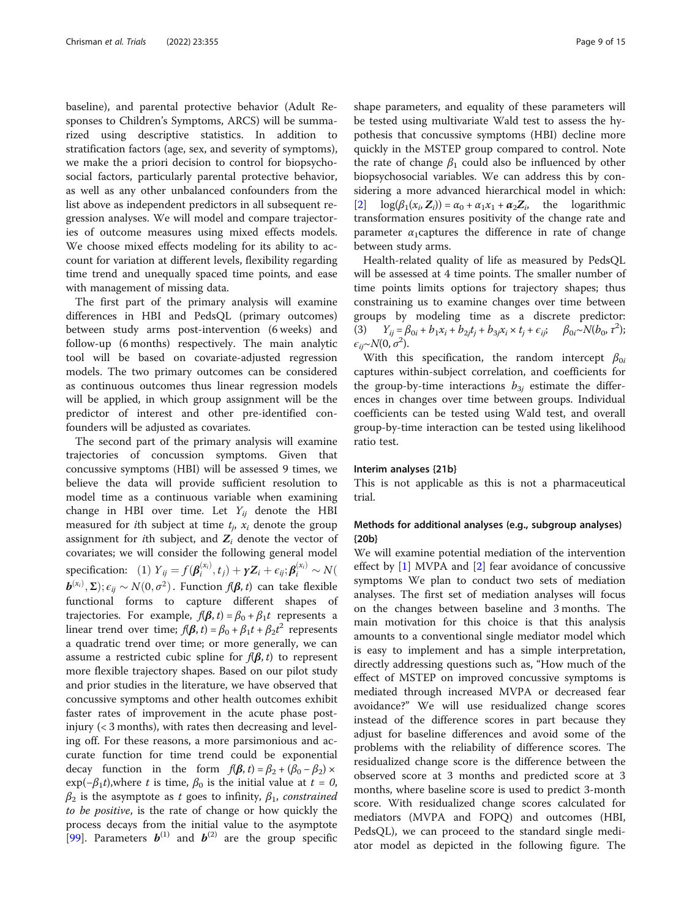baseline), and parental protective behavior (Adult Responses to Children's Symptoms, ARCS) will be summarized using descriptive statistics. In addition to stratification factors (age, sex, and severity of symptoms), we make the a priori decision to control for biopsychosocial factors, particularly parental protective behavior, as well as any other unbalanced confounders from the list above as independent predictors in all subsequent regression analyses. We will model and compare trajectories of outcome measures using mixed effects models. We choose mixed effects modeling for its ability to account for variation at different levels, flexibility regarding time trend and unequally spaced time points, and ease with management of missing data.

The first part of the primary analysis will examine differences in HBI and PedsQL (primary outcomes) between study arms post-intervention (6 weeks) and follow-up (6 months) respectively. The main analytic tool will be based on covariate-adjusted regression models. The two primary outcomes can be considered as continuous outcomes thus linear regression models will be applied, in which group assignment will be the predictor of interest and other pre-identified confounders will be adjusted as covariates.

The second part of the primary analysis will examine trajectories of concussion symptoms. Given that concussive symptoms (HBI) will be assessed 9 times, we believe the data will provide sufficient resolution to model time as a continuous variable when examining change in HBI over time. Let  $Y_{ij}$  denote the HBI measured for *i*th subject at time  $t_i$ ,  $x_i$  denote the group assignment for *i*th subject, and  $Z_i$  denote the vector of covariates; we will consider the following general model specification: (1)  $Y_{ij} = f(\boldsymbol{\beta}_i^{(x_i)}, t_j) + \boldsymbol{\gamma} \boldsymbol{Z}_i + \epsilon_{ij}; \boldsymbol{\beta}_i^{(x_i)} \sim N(\boldsymbol{\beta}_i^{(x_i)}, t_j)$  $\bm{b}^{(x_i)}, \bm{\Sigma}); \epsilon_{ij} \sim N(0, \sigma^2)$ . Function  $f(\bm{\beta}, t)$  can take flexible functional forms to capture different shapes of trajectories. For example,  $f(\beta, t) = \beta_0 + \beta_1 t$  represents a linear trend over time;  $f(\beta, t) = \beta_0 + \beta_1 t + \beta_2 t^2$  represents a quadratic trend over time; or more generally, we can assume a restricted cubic spline for  $f(\beta, t)$  to represent more flexible trajectory shapes. Based on our pilot study and prior studies in the literature, we have observed that concussive symptoms and other health outcomes exhibit faster rates of improvement in the acute phase postinjury (< 3 months), with rates then decreasing and leveling off. For these reasons, a more parsimonious and accurate function for time trend could be exponential decay function in the form  $f(\beta, t) = \beta_2 + (\beta_0 - \beta_2) \times$  $exp(-\beta_1 t)$ , where t is time,  $\beta_0$  is the initial value at  $t=0$ ,  $\beta_2$  is the asymptote as t goes to infinity,  $\beta_1$ , constrained to be positive, is the rate of change or how quickly the process decays from the initial value to the asymptote [[99\]](#page-14-0). Parameters  $\mathbf{b}^{(1)}$  and  $\mathbf{b}^{(2)}$  are the group specific shape parameters, and equality of these parameters will be tested using multivariate Wald test to assess the hypothesis that concussive symptoms (HBI) decline more quickly in the MSTEP group compared to control. Note the rate of change  $\beta_1$  could also be influenced by other biopsychosocial variables. We can address this by considering a more advanced hierarchical model in which:  $[2] \log(\beta_1(x_i, Z_i)) = \alpha_0 + \alpha_1 x_1 + \alpha_2 Z_i$  $[2] \log(\beta_1(x_i, Z_i)) = \alpha_0 + \alpha_1 x_1 + \alpha_2 Z_i$  $[2] \log(\beta_1(x_i, Z_i)) = \alpha_0 + \alpha_1 x_1 + \alpha_2 Z_i$ , the logarithmic transformation ensures positivity of the change rate and parameter  $\alpha_1$ captures the difference in rate of change between study arms.

Health-related quality of life as measured by PedsQL will be assessed at 4 time points. The smaller number of time points limits options for trajectory shapes; thus constraining us to examine changes over time between groups by modeling time as a discrete predictor: (3)  $Y_{ij} = \beta_{0i} + b_1 x_i + b_{2j} t_j + b_3 x_i \times t_j + \epsilon_{ij}; \quad \beta_{0i} \sim N(b_0, \tau^2);$  $\epsilon_{ij} \sim N(0, \sigma^2)$ .

With this specification, the random intercept  $\beta_{0i}$ captures within-subject correlation, and coefficients for the group-by-time interactions  $b_{3i}$  estimate the differences in changes over time between groups. Individual coefficients can be tested using Wald test, and overall group-by-time interaction can be tested using likelihood ratio test.

#### Interim analyses {21b}

This is not applicable as this is not a pharmaceutical trial.

# Methods for additional analyses (e.g., subgroup analyses) {20b}

We will examine potential mediation of the intervention effect by [[1\]](#page-11-0) MVPA and [\[2](#page-11-0)] fear avoidance of concussive symptoms We plan to conduct two sets of mediation analyses. The first set of mediation analyses will focus on the changes between baseline and 3 months. The main motivation for this choice is that this analysis amounts to a conventional single mediator model which is easy to implement and has a simple interpretation, directly addressing questions such as, "How much of the effect of MSTEP on improved concussive symptoms is mediated through increased MVPA or decreased fear avoidance?" We will use residualized change scores instead of the difference scores in part because they adjust for baseline differences and avoid some of the problems with the reliability of difference scores. The residualized change score is the difference between the observed score at 3 months and predicted score at 3 months, where baseline score is used to predict 3-month score. With residualized change scores calculated for mediators (MVPA and FOPQ) and outcomes (HBI, PedsQL), we can proceed to the standard single mediator model as depicted in the following figure. The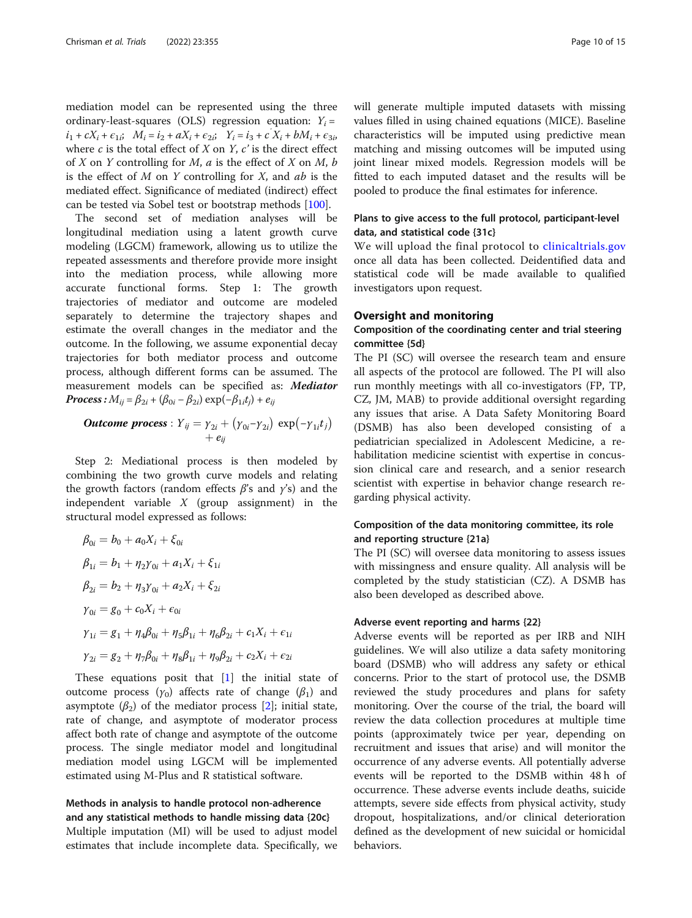mediation model can be represented using the three ordinary-least-squares (OLS) regression equation:  $Y_i =$  $i_1 + cX_i + \epsilon_{1i}$ ;  $M_i = i_2 + aX_i + \epsilon_{2i}$ ;  $Y_i = i_3 + cX_i + bM_i + \epsilon_{3i}$ where  $c$  is the total effect of  $X$  on  $Y$ ,  $c'$  is the direct effect of  $X$  on  $Y$  controlling for  $M$ ,  $a$  is the effect of  $X$  on  $M$ ,  $b$ is the effect of  $M$  on  $Y$  controlling for  $X$ , and  $ab$  is the mediated effect. Significance of mediated (indirect) effect can be tested via Sobel test or bootstrap methods [\[100\]](#page-14-0).

The second set of mediation analyses will be longitudinal mediation using a latent growth curve modeling (LGCM) framework, allowing us to utilize the repeated assessments and therefore provide more insight into the mediation process, while allowing more accurate functional forms. Step 1: The growth trajectories of mediator and outcome are modeled separately to determine the trajectory shapes and estimate the overall changes in the mediator and the outcome. In the following, we assume exponential decay trajectories for both mediator process and outcome process, although different forms can be assumed. The measurement models can be specified as: Mediator **Process**:  $M_{ii} = \beta_{2i} + (\beta_{0i} - \beta_{2i}) \exp(-\beta_{1i}t_i) + e_{ii}$ 

**Outcome process**: 
$$
Y_{ij} = \gamma_{2i} + (\gamma_{0i} - \gamma_{2i}) \exp(-\gamma_{1i}t_j)
$$
  
+  $e_{ij}$ 

Step 2: Mediational process is then modeled by combining the two growth curve models and relating the growth factors (random effects  $\beta$ 's and  $\gamma$ 's) and the independent variable  $X$  (group assignment) in the structural model expressed as follows:

$$
\beta_{0i} = b_0 + a_0 X_i + \xi_{0i}
$$
  
\n
$$
\beta_{1i} = b_1 + \eta_2 \gamma_{0i} + a_1 X_i + \xi_{1i}
$$
  
\n
$$
\beta_{2i} = b_2 + \eta_3 \gamma_{0i} + a_2 X_i + \xi_{2i}
$$
  
\n
$$
\gamma_{0i} = g_0 + c_0 X_i + \epsilon_{0i}
$$
  
\n
$$
\gamma_{1i} = g_1 + \eta_4 \beta_{0i} + \eta_5 \beta_{1i} + \eta_6 \beta_{2i} + c_1 X_i + \epsilon_{1i}
$$
  
\n
$$
\gamma_{2i} = g_2 + \eta_7 \beta_{0i} + \eta_8 \beta_{1i} + \eta_9 \beta_{2i} + c_2 X_i + \epsilon_{2i}
$$

These equations posit that  $[1]$  $[1]$  the initial state of outcome process ( $γ_0$ ) affects rate of change ( $β_1$ ) and asymptote  $(\beta_2)$  of the mediator process [\[2](#page-11-0)]; initial state, rate of change, and asymptote of moderator process affect both rate of change and asymptote of the outcome process. The single mediator model and longitudinal mediation model using LGCM will be implemented estimated using M-Plus and R statistical software.

# Methods in analysis to handle protocol non-adherence and any statistical methods to handle missing data {20c}

Multiple imputation (MI) will be used to adjust model estimates that include incomplete data. Specifically, we will generate multiple imputed datasets with missing values filled in using chained equations (MICE). Baseline characteristics will be imputed using predictive mean matching and missing outcomes will be imputed using joint linear mixed models. Regression models will be fitted to each imputed dataset and the results will be pooled to produce the final estimates for inference.

# Plans to give access to the full protocol, participant-level data, and statistical code {31c}

We will upload the final protocol to [clinicaltrials.gov](http://clinicaltrials.gov) once all data has been collected. Deidentified data and statistical code will be made available to qualified investigators upon request.

# Oversight and monitoring

# Composition of the coordinating center and trial steering committee {5d}

The PI (SC) will oversee the research team and ensure all aspects of the protocol are followed. The PI will also run monthly meetings with all co-investigators (FP, TP, CZ, JM, MAB) to provide additional oversight regarding any issues that arise. A Data Safety Monitoring Board (DSMB) has also been developed consisting of a pediatrician specialized in Adolescent Medicine, a rehabilitation medicine scientist with expertise in concussion clinical care and research, and a senior research scientist with expertise in behavior change research regarding physical activity.

# Composition of the data monitoring committee, its role and reporting structure {21a}

The PI (SC) will oversee data monitoring to assess issues with missingness and ensure quality. All analysis will be completed by the study statistician (CZ). A DSMB has also been developed as described above.

#### Adverse event reporting and harms {22}

Adverse events will be reported as per IRB and NIH guidelines. We will also utilize a data safety monitoring board (DSMB) who will address any safety or ethical concerns. Prior to the start of protocol use, the DSMB reviewed the study procedures and plans for safety monitoring. Over the course of the trial, the board will review the data collection procedures at multiple time points (approximately twice per year, depending on recruitment and issues that arise) and will monitor the occurrence of any adverse events. All potentially adverse events will be reported to the DSMB within 48 h of occurrence. These adverse events include deaths, suicide attempts, severe side effects from physical activity, study dropout, hospitalizations, and/or clinical deterioration defined as the development of new suicidal or homicidal behaviors.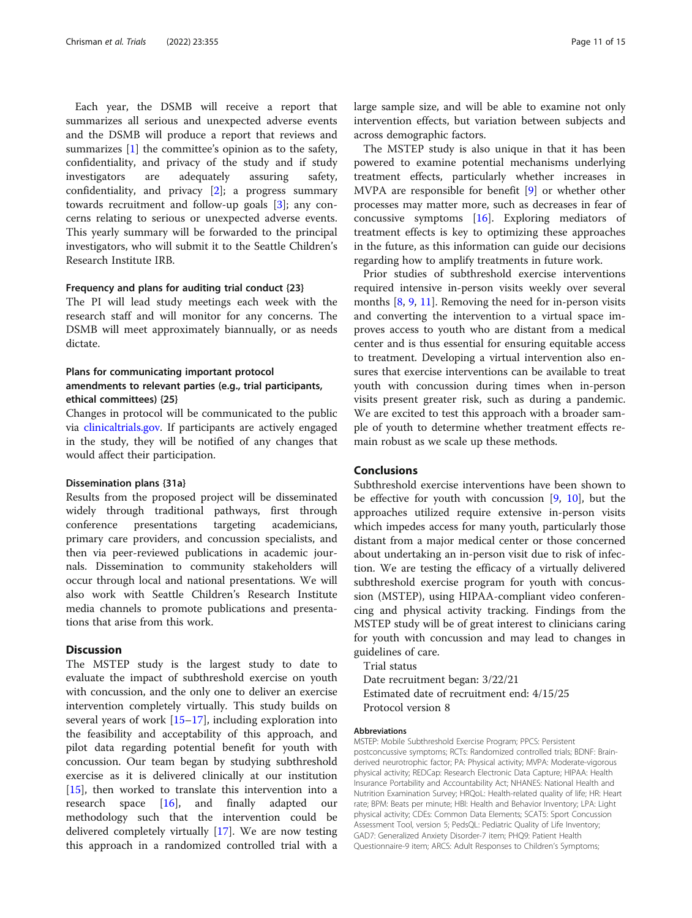Each year, the DSMB will receive a report that summarizes all serious and unexpected adverse events and the DSMB will produce a report that reviews and summarizes [[1\]](#page-11-0) the committee's opinion as to the safety, confidentiality, and privacy of the study and if study investigators are adequately assuring safety, confidentiality, and privacy  $[2]$ ; a progress summary towards recruitment and follow-up goals [\[3](#page-11-0)]; any concerns relating to serious or unexpected adverse events. This yearly summary will be forwarded to the principal investigators, who will submit it to the Seattle Children's Research Institute IRB.

#### Frequency and plans for auditing trial conduct {23}

The PI will lead study meetings each week with the research staff and will monitor for any concerns. The DSMB will meet approximately biannually, or as needs dictate.

# Plans for communicating important protocol amendments to relevant parties (e.g., trial participants, ethical committees) {25}

Changes in protocol will be communicated to the public via [clinicaltrials.gov.](http://clinicaltrials.gov) If participants are actively engaged in the study, they will be notified of any changes that would affect their participation.

#### Dissemination plans {31a}

Results from the proposed project will be disseminated widely through traditional pathways, first through conference presentations targeting academicians, primary care providers, and concussion specialists, and then via peer-reviewed publications in academic journals. Dissemination to community stakeholders will occur through local and national presentations. We will also work with Seattle Children's Research Institute media channels to promote publications and presentations that arise from this work.

## **Discussion**

The MSTEP study is the largest study to date to evaluate the impact of subthreshold exercise on youth with concussion, and the only one to deliver an exercise intervention completely virtually. This study builds on several years of work [\[15](#page-12-0)–[17\]](#page-12-0), including exploration into the feasibility and acceptability of this approach, and pilot data regarding potential benefit for youth with concussion. Our team began by studying subthreshold exercise as it is delivered clinically at our institution [[15\]](#page-12-0), then worked to translate this intervention into a research space [[16](#page-12-0)], and finally adapted our methodology such that the intervention could be delivered completely virtually [\[17\]](#page-12-0). We are now testing this approach in a randomized controlled trial with a

large sample size, and will be able to examine not only intervention effects, but variation between subjects and across demographic factors.

The MSTEP study is also unique in that it has been powered to examine potential mechanisms underlying treatment effects, particularly whether increases in MVPA are responsible for benefit [[9\]](#page-11-0) or whether other processes may matter more, such as decreases in fear of concussive symptoms [\[16\]](#page-12-0). Exploring mediators of treatment effects is key to optimizing these approaches in the future, as this information can guide our decisions regarding how to amplify treatments in future work.

Prior studies of subthreshold exercise interventions required intensive in-person visits weekly over several months [[8,](#page-11-0) [9,](#page-11-0) [11\]](#page-12-0). Removing the need for in-person visits and converting the intervention to a virtual space improves access to youth who are distant from a medical center and is thus essential for ensuring equitable access to treatment. Developing a virtual intervention also ensures that exercise interventions can be available to treat youth with concussion during times when in-person visits present greater risk, such as during a pandemic. We are excited to test this approach with a broader sample of youth to determine whether treatment effects remain robust as we scale up these methods.

# Conclusions

Subthreshold exercise interventions have been shown to be effective for youth with concussion [\[9](#page-11-0), [10\]](#page-11-0), but the approaches utilized require extensive in-person visits which impedes access for many youth, particularly those distant from a major medical center or those concerned about undertaking an in-person visit due to risk of infection. We are testing the efficacy of a virtually delivered subthreshold exercise program for youth with concussion (MSTEP), using HIPAA-compliant video conferencing and physical activity tracking. Findings from the MSTEP study will be of great interest to clinicians caring for youth with concussion and may lead to changes in guidelines of care.

Trial status Date recruitment began: 3/22/21 Estimated date of recruitment end: 4/15/25 Protocol version 8

#### Abbreviations

MSTEP: Mobile Subthreshold Exercise Program; PPCS: Persistent postconcussive symptoms; RCTs: Randomized controlled trials; BDNF: Brainderived neurotrophic factor; PA: Physical activity; MVPA: Moderate-vigorous physical activity; REDCap: Research Electronic Data Capture; HIPAA: Health Insurance Portability and Accountability Act; NHANES: National Health and Nutrition Examination Survey; HRQoL: Health-related quality of life; HR: Heart rate; BPM: Beats per minute; HBI: Health and Behavior Inventory; LPA: Light physical activity; CDEs: Common Data Elements; SCAT5: Sport Concussion Assessment Tool, version 5; PedsQL: Pediatric Quality of Life Inventory; GAD7: Generalized Anxiety Disorder-7 item; PHQ9: Patient Health Questionnaire-9 item; ARCS: Adult Responses to Children's Symptoms;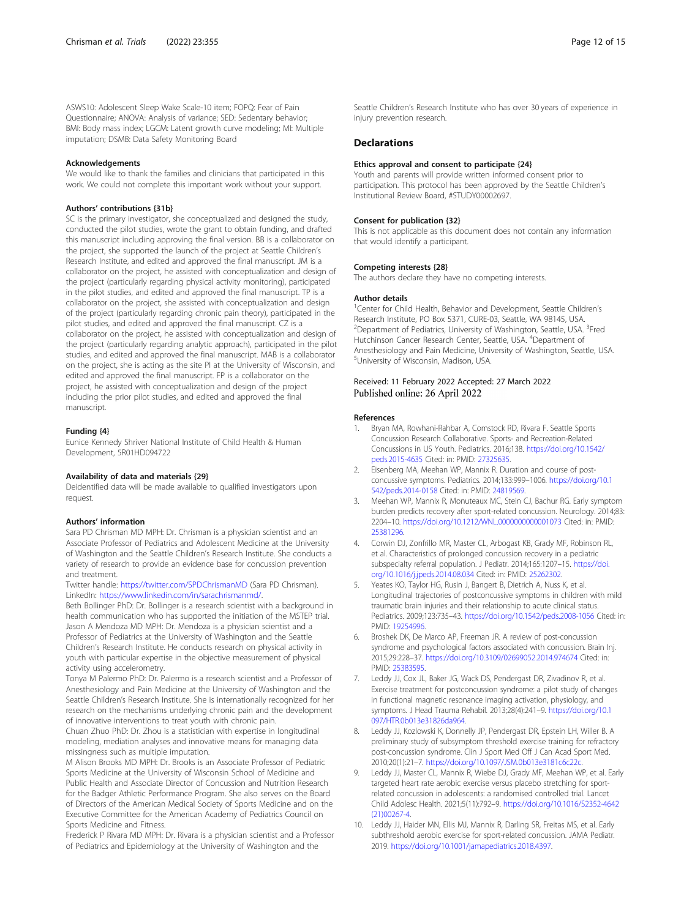<span id="page-11-0"></span>ASWS10: Adolescent Sleep Wake Scale-10 item; FOPQ: Fear of Pain Questionnaire; ANOVA: Analysis of variance; SED: Sedentary behavior; BMI: Body mass index; LGCM: Latent growth curve modeling; MI: Multiple imputation; DSMB: Data Safety Monitoring Board

#### Acknowledgements

We would like to thank the families and clinicians that participated in this work. We could not complete this important work without your support.

#### Authors' contributions {31b}

SC is the primary investigator, she conceptualized and designed the study, conducted the pilot studies, wrote the grant to obtain funding, and drafted this manuscript including approving the final version. BB is a collaborator on the project, she supported the launch of the project at Seattle Children's Research Institute, and edited and approved the final manuscript. JM is a collaborator on the project, he assisted with conceptualization and design of the project (particularly regarding physical activity monitoring), participated in the pilot studies, and edited and approved the final manuscript. TP is a collaborator on the project, she assisted with conceptualization and design of the project (particularly regarding chronic pain theory), participated in the pilot studies, and edited and approved the final manuscript. CZ is a collaborator on the project, he assisted with conceptualization and design of the project (particularly regarding analytic approach), participated in the pilot studies, and edited and approved the final manuscript. MAB is a collaborator on the project, she is acting as the site PI at the University of Wisconsin, and edited and approved the final manuscript. FP is a collaborator on the project, he assisted with conceptualization and design of the project including the prior pilot studies, and edited and approved the final manuscript.

#### Funding {4}

Eunice Kennedy Shriver National Institute of Child Health & Human Development, 5R01HD094722

#### Availability of data and materials {29}

Deidentified data will be made available to qualified investigators upon request.

#### Authors' information

Sara PD Chrisman MD MPH: Dr. Chrisman is a physician scientist and an Associate Professor of Pediatrics and Adolescent Medicine at the University of Washington and the Seattle Children's Research Institute. She conducts a variety of research to provide an evidence base for concussion prevention and treatment.

Twitter handle: <https://twitter.com/SPDChrismanMD> (Sara PD Chrisman). LinkedIn: <https://www.linkedin.com/in/sarachrismanmd/>.

Beth Bollinger PhD: Dr. Bollinger is a research scientist with a background in health communication who has supported the initiation of the MSTEP trial. Jason A Mendoza MD MPH: Dr. Mendoza is a physician scientist and a Professor of Pediatrics at the University of Washington and the Seattle Children's Research Institute. He conducts research on physical activity in youth with particular expertise in the objective measurement of physical activity using accelerometry.

Tonya M Palermo PhD: Dr. Palermo is a research scientist and a Professor of Anesthesiology and Pain Medicine at the University of Washington and the Seattle Children's Research Institute. She is internationally recognized for her research on the mechanisms underlying chronic pain and the development of innovative interventions to treat youth with chronic pain.

Chuan Zhuo PhD: Dr. Zhou is a statistician with expertise in longitudinal modeling, mediation analyses and innovative means for managing data missingness such as multiple imputation.

M Alison Brooks MD MPH: Dr. Brooks is an Associate Professor of Pediatric Sports Medicine at the University of Wisconsin School of Medicine and Public Health and Associate Director of Concussion and Nutrition Research for the Badger Athletic Performance Program. She also serves on the Board of Directors of the American Medical Society of Sports Medicine and on the Executive Committee for the American Academy of Pediatrics Council on Sports Medicine and Fitness.

Frederick P Rivara MD MPH: Dr. Rivara is a physician scientist and a Professor of Pediatrics and Epidemiology at the University of Washington and the

#### **Declarations**

#### Ethics approval and consent to participate {24}

Youth and parents will provide written informed consent prior to participation. This protocol has been approved by the Seattle Children's Institutional Review Board, #STUDY00002697.

#### Consent for publication {32}

This is not applicable as this document does not contain any information that would identify a participant.

#### Competing interests {28}

The authors declare they have no competing interests.

#### Author details

<sup>1</sup> Center for Child Health, Behavior and Development, Seattle Children's Research Institute, PO Box 5371, CURE-03, Seattle, WA 98145, USA. <sup>2</sup>Department of Pediatrics, University of Washington, Seattle, USA. <sup>3</sup>Fred Hutchinson Cancer Research Center, Seattle, USA. <sup>4</sup>Department of Anesthesiology and Pain Medicine, University of Washington, Seattle, USA. 5 University of Wisconsin, Madison, USA.

#### Received: 11 February 2022 Accepted: 27 March 2022 Published online: 26 April 2022

#### References

- 1. Bryan MA, Rowhani-Rahbar A, Comstock RD, Rivara F. Seattle Sports Concussion Research Collaborative. Sports- and Recreation-Related Concussions in US Youth. Pediatrics. 2016;138. [https://doi.org/10.1542/](https://doi.org/10.1542/peds.2015-4635) [peds.2015-4635](https://doi.org/10.1542/peds.2015-4635) Cited: in: PMID: [27325635.](https://www.ncbi.nlm.nih.gov/pubmed/27325635)
- 2. Eisenberg MA, Meehan WP, Mannix R. Duration and course of postconcussive symptoms. Pediatrics. 2014;133:999–1006. [https://doi.org/10.1](https://doi.org/10.1542/peds.2014-0158) [542/peds.2014-0158](https://doi.org/10.1542/peds.2014-0158) Cited: in: PMID: [24819569](https://www.ncbi.nlm.nih.gov/pubmed/24819569).
- 3. Meehan WP, Mannix R, Monuteaux MC, Stein CJ, Bachur RG. Early symptom burden predicts recovery after sport-related concussion. Neurology. 2014;83: 2204–10. <https://doi.org/10.1212/WNL.0000000000001073> Cited: in: PMID: [25381296](https://www.ncbi.nlm.nih.gov/pubmed/25381296).
- 4. Corwin DJ, Zonfrillo MR, Master CL, Arbogast KB, Grady MF, Robinson RL, et al. Characteristics of prolonged concussion recovery in a pediatric subspecialty referral population. J Pediatr. 2014;165:1207–15. [https://doi.](https://doi.org/10.1016/j.jpeds.2014.08.034) [org/10.1016/j.jpeds.2014.08.034](https://doi.org/10.1016/j.jpeds.2014.08.034) Cited: in: PMID: [25262302.](https://www.ncbi.nlm.nih.gov/pubmed/25262302)
- Yeates KO, Taylor HG, Rusin J, Bangert B, Dietrich A, Nuss K, et al. Longitudinal trajectories of postconcussive symptoms in children with mild traumatic brain injuries and their relationship to acute clinical status. Pediatrics. 2009;123:735–43. <https://doi.org/10.1542/peds.2008-1056> Cited: in: PMID: [19254996](https://www.ncbi.nlm.nih.gov/pubmed/19254996).
- 6. Broshek DK, De Marco AP, Freeman JR. A review of post-concussion syndrome and psychological factors associated with concussion. Brain Inj. 2015;29:228–37. <https://doi.org/10.3109/02699052.2014.974674> Cited: in: PMID: [25383595](https://www.ncbi.nlm.nih.gov/pubmed/25383595).
- Leddy JJ, Cox JL, Baker JG, Wack DS, Pendergast DR, Zivadinov R, et al. Exercise treatment for postconcussion syndrome: a pilot study of changes in functional magnetic resonance imaging activation, physiology, and symptoms. J Head Trauma Rehabil. 2013;28(4):241–9. [https://doi.org/10.1](https://doi.org/10.1097/HTR.0b013e31826da964) [097/HTR.0b013e31826da964](https://doi.org/10.1097/HTR.0b013e31826da964).
- Leddy JJ, Kozlowski K, Donnelly JP, Pendergast DR, Epstein LH, Willer B. A preliminary study of subsymptom threshold exercise training for refractory post-concussion syndrome. Clin J Sport Med Off J Can Acad Sport Med. 2010;20(1):21–7. [https://doi.org/10.1097/JSM.0b013e3181c6c22c.](https://doi.org/10.1097/JSM.0b013e3181c6c22c)
- 9. Leddy JJ, Master CL, Mannix R, Wiebe DJ, Grady MF, Meehan WP, et al. Early targeted heart rate aerobic exercise versus placebo stretching for sportrelated concussion in adolescents: a randomised controlled trial. Lancet Child Adolesc Health. 2021;5(11):792–9. [https://doi.org/10.1016/S2352-4642](https://doi.org/10.1016/S2352-4642(21)00267-4) [\(21\)00267-4.](https://doi.org/10.1016/S2352-4642(21)00267-4)
- 10. Leddy JJ, Haider MN, Ellis MJ, Mannix R, Darling SR, Freitas MS, et al. Early subthreshold aerobic exercise for sport-related concussion. JAMA Pediatr. 2019. <https://doi.org/10.1001/jamapediatrics.2018.4397>.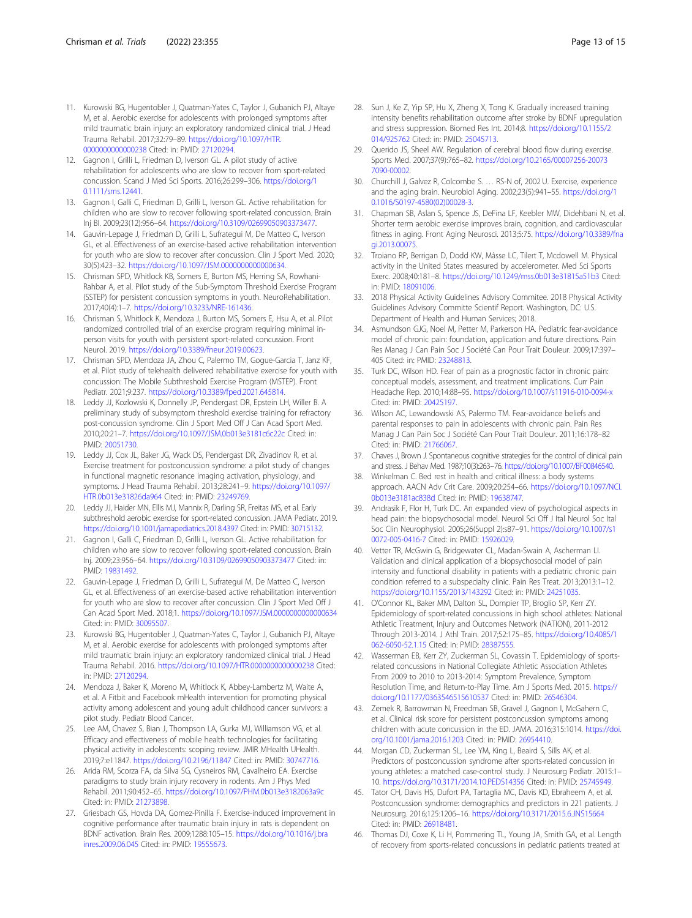- <span id="page-12-0"></span>11. Kurowski BG, Hugentobler J, Quatman-Yates C, Taylor J, Gubanich PJ, Altaye M, et al. Aerobic exercise for adolescents with prolonged symptoms after mild traumatic brain injury: an exploratory randomized clinical trial. J Head Trauma Rehabil. 2017;32:79–89. [https://doi.org/10.1097/HTR.](https://doi.org/10.1097/HTR.0000000000000238) [0000000000000238](https://doi.org/10.1097/HTR.0000000000000238) Cited: in: PMID: [27120294](https://www.ncbi.nlm.nih.gov/pubmed/27120294).
- 12. Gagnon I, Grilli L, Friedman D, Iverson GL. A pilot study of active rehabilitation for adolescents who are slow to recover from sport-related concussion. Scand J Med Sci Sports. 2016;26:299–306. [https://doi.org/1](https://doi.org/10.1111/sms.12441) [0.1111/sms.12441.](https://doi.org/10.1111/sms.12441)
- 13. Gagnon I, Galli C, Friedman D, Grilli L, Iverson GL. Active rehabilitation for children who are slow to recover following sport-related concussion. Brain Inj BI. 2009;23(12):956–64. [https://doi.org/10.3109/02699050903373477.](https://doi.org/10.3109/02699050903373477)
- 14. Gauvin-Lepage J, Friedman D, Grilli L, Sufrategui M, De Matteo C, Iverson GL, et al. Effectiveness of an exercise-based active rehabilitation intervention for youth who are slow to recover after concussion. Clin J Sport Med. 2020; 30(5):423–32. [https://doi.org/10.1097/JSM.0000000000000634.](https://doi.org/10.1097/JSM.0000000000000634)
- 15. Chrisman SPD, Whitlock KB, Somers E, Burton MS, Herring SA, Rowhani-Rahbar A, et al. Pilot study of the Sub-Symptom Threshold Exercise Program (SSTEP) for persistent concussion symptoms in youth. NeuroRehabilitation. 2017;40(4):1–7. [https://doi.org/10.3233/NRE-161436.](https://doi.org/10.3233/NRE-161436)
- 16. Chrisman S, Whitlock K, Mendoza J, Burton MS, Somers E, Hsu A, et al. Pilot randomized controlled trial of an exercise program requiring minimal inperson visits for youth with persistent sport-related concussion. Front Neurol. 2019. <https://doi.org/10.3389/fneur.2019.00623>.
- 17. Chrisman SPD, Mendoza JA, Zhou C, Palermo TM, Gogue-Garcia T, Janz KF, et al. Pilot study of telehealth delivered rehabilitative exercise for youth with concussion: The Mobile Subthreshold Exercise Program (MSTEP). Front Pediatr. 2021;9:237. <https://doi.org/10.3389/fped.2021.645814>.
- 18. Leddy JJ, Kozlowski K, Donnelly JP, Pendergast DR, Epstein LH, Willer B. A preliminary study of subsymptom threshold exercise training for refractory post-concussion syndrome. Clin J Sport Med Off J Can Acad Sport Med. 2010;20:21–7. <https://doi.org/10.1097/JSM.0b013e3181c6c22c> Cited: in: PMID: [20051730](https://www.ncbi.nlm.nih.gov/pubmed/20051730).
- 19. Leddy JJ, Cox JL, Baker JG, Wack DS, Pendergast DR, Zivadinov R, et al. Exercise treatment for postconcussion syndrome: a pilot study of changes in functional magnetic resonance imaging activation, physiology, and symptoms. J Head Trauma Rehabil. 2013;28:241–9. [https://doi.org/10.1097/](https://doi.org/10.1097/HTR.0b013e31826da964) [HTR.0b013e31826da964](https://doi.org/10.1097/HTR.0b013e31826da964) Cited: in: PMID: [23249769](https://www.ncbi.nlm.nih.gov/pubmed/23249769).
- 20. Leddy JJ, Haider MN, Ellis MJ, Mannix R, Darling SR, Freitas MS, et al. Early subthreshold aerobic exercise for sport-related concussion. JAMA Pediatr. 2019. <https://doi.org/10.1001/jamapediatrics.2018.4397> Cited: in: PMID: [30715132.](https://www.ncbi.nlm.nih.gov/pubmed/30715132)
- 21. Gagnon I, Galli C, Friedman D, Grilli L, Iverson GL. Active rehabilitation for children who are slow to recover following sport-related concussion. Brain Inj. 2009;23:956–64. <https://doi.org/10.3109/02699050903373477> Cited: in: PMID: [19831492](https://www.ncbi.nlm.nih.gov/pubmed/19831492).
- 22. Gauvin-Lepage J, Friedman D, Grilli L, Sufrategui M, De Matteo C, Iverson GL, et al. Effectiveness of an exercise-based active rehabilitation intervention for youth who are slow to recover after concussion. Clin J Sport Med Off J Can Acad Sport Med. 2018;1. <https://doi.org/10.1097/JSM.0000000000000634> Cited: in: PMID: [30095507](https://www.ncbi.nlm.nih.gov/pubmed/30095507).
- 23. Kurowski BG, Hugentobler J, Quatman-Yates C, Taylor J, Gubanich PJ, Altaye M, et al. Aerobic exercise for adolescents with prolonged symptoms after mild traumatic brain injury: an exploratory randomized clinical trial. J Head Trauma Rehabil. 2016. <https://doi.org/10.1097/HTR.0000000000000238> Cited: in: PMID: [27120294](https://www.ncbi.nlm.nih.gov/pubmed/27120294).
- 24. Mendoza J, Baker K, Moreno M, Whitlock K, Abbey-Lambertz M, Waite A, et al. A Fitbit and Facebook mHealth intervention for promoting physical activity among adolescent and young adult childhood cancer survivors: a pilot study. Pediatr Blood Cancer.
- 25. Lee AM, Chavez S, Bian J, Thompson LA, Gurka MJ, Williamson VG, et al. Efficacy and effectiveness of mobile health technologies for facilitating physical activity in adolescents: scoping review. JMIR MHealth UHealth. 2019;7:e11847. <https://doi.org/10.2196/11847> Cited: in: PMID: [30747716.](https://www.ncbi.nlm.nih.gov/pubmed/30747716)
- 26. Arida RM, Scorza FA, da Silva SG, Cysneiros RM, Cavalheiro EA. Exercise paradigms to study brain injury recovery in rodents. Am J Phys Med Rehabil. 2011;90:452–65. <https://doi.org/10.1097/PHM.0b013e3182063a9c> Cited: in: PMID: [21273898](https://www.ncbi.nlm.nih.gov/pubmed/21273898).
- 27. Griesbach GS, Hovda DA, Gomez-Pinilla F. Exercise-induced improvement in cognitive performance after traumatic brain injury in rats is dependent on BDNF activation. Brain Res. 2009;1288:105–15. [https://doi.org/10.1016/j.bra](https://doi.org/10.1016/j.brainres.2009.06.045) [inres.2009.06.045](https://doi.org/10.1016/j.brainres.2009.06.045) Cited: in: PMID: [19555673](https://www.ncbi.nlm.nih.gov/pubmed/19555673).
- 28. Sun J, Ke Z, Yip SP, Hu X, Zheng X, Tong K. Gradually increased training intensity benefits rehabilitation outcome after stroke by BDNF upregulation and stress suppression. Biomed Res Int. 2014;8. [https://doi.org/10.1155/2](https://doi.org/10.1155/2014/925762) [014/925762](https://doi.org/10.1155/2014/925762) Cited: in: PMID: [25045713.](https://www.ncbi.nlm.nih.gov/pubmed/25045713)
- 29. Querido JS, Sheel AW. Regulation of cerebral blood flow during exercise. Sports Med. 2007;37(9):765–82. [https://doi.org/10.2165/00007256-20073](https://doi.org/10.2165/00007256-200737090-00002) [7090-00002.](https://doi.org/10.2165/00007256-200737090-00002)
- 30. Churchill J, Galvez R, Colcombe S. … RS-N of, 2002 U. Exercise, experience and the aging brain. Neurobiol Aging. 2002;23(5):941–55. [https://doi.org/1](https://doi.org/10.1016/S0197-4580(02)00028-3) [0.1016/S0197-4580\(02\)00028-3](https://doi.org/10.1016/S0197-4580(02)00028-3).
- 31. Chapman SB, Aslan S, Spence JS, DeFina LF, Keebler MW, Didehbani N, et al. Shorter term aerobic exercise improves brain, cognition, and cardiovascular fitness in aging. Front Aging Neurosci. 2013;5:75. [https://doi.org/10.3389/fna](https://doi.org/10.3389/fnagi.2013.00075) [gi.2013.00075](https://doi.org/10.3389/fnagi.2013.00075).
- 32. Troiano RP, Berrigan D, Dodd KW, Mâsse LC, Tilert T, Mcdowell M. Physical activity in the United States measured by accelerometer. Med Sci Sports Exerc. 2008;40:181–8. <https://doi.org/10.1249/mss.0b013e31815a51b3> Cited: in: PMID: [18091006](https://www.ncbi.nlm.nih.gov/pubmed/18091006).
- 33. 2018 Physical Activity Guidelines Advisory Commitee. 2018 Physical Activity Guidelines Advisory Committe Scientif Report. Washington, DC: U.S. Department of Health and Human Services; 2018.
- 34. Asmundson GJG, Noel M, Petter M, Parkerson HA. Pediatric fear-avoidance model of chronic pain: foundation, application and future directions. Pain Res Manag J Can Pain Soc J Société Can Pour Trait Douleur. 2009;17:397– 405 Cited: in: PMID: [23248813.](https://www.ncbi.nlm.nih.gov/pubmed/23248813)
- 35. Turk DC, Wilson HD. Fear of pain as a prognostic factor in chronic pain: conceptual models, assessment, and treatment implications. Curr Pain Headache Rep. 2010;14:88–95. <https://doi.org/10.1007/s11916-010-0094-x> Cited: in: PMID: [20425197](https://www.ncbi.nlm.nih.gov/pubmed/20425197).
- 36. Wilson AC, Lewandowski AS, Palermo TM. Fear-avoidance beliefs and parental responses to pain in adolescents with chronic pain. Pain Res Manag J Can Pain Soc J Société Can Pour Trait Douleur. 2011;16:178–82 Cited: in: PMID: [21766067](https://www.ncbi.nlm.nih.gov/pubmed/21766067).
- 37. Chaves J, Brown J. Spontaneous cognitive strategies for the control of clinical pain and stress. J Behav Med. 1987;10(3):263–76. <https://doi.org/10.1007/BF00846540>.
- 38. Winkelman C. Bed rest in health and critical illness: a body systems approach. AACN Adv Crit Care. 2009;20:254–66. [https://doi.org/10.1097/NCI.](https://doi.org/10.1097/NCI.0b013e3181ac838d) [0b013e3181ac838d](https://doi.org/10.1097/NCI.0b013e3181ac838d) Cited: in: PMID: [19638747](https://www.ncbi.nlm.nih.gov/pubmed/19638747).
- 39. Andrasik F, Flor H, Turk DC. An expanded view of psychological aspects in head pain: the biopsychosocial model. Neurol Sci Off J Ital Neurol Soc Ital Soc Clin Neurophysiol. 2005;26(Suppl 2):s87–91. [https://doi.org/10.1007/s1](https://doi.org/10.1007/s10072-005-0416-7) [0072-005-0416-7](https://doi.org/10.1007/s10072-005-0416-7) Cited: in: PMID: [15926029.](https://www.ncbi.nlm.nih.gov/pubmed/15926029)
- Vetter TR, McGwin G, Bridgewater CL, Madan-Swain A, Ascherman Ll. Validation and clinical application of a biopsychosocial model of pain intensity and functional disability in patients with a pediatric chronic pain condition referred to a subspecialty clinic. Pain Res Treat. 2013;2013:1–12. <https://doi.org/10.1155/2013/143292> Cited: in: PMID: [24251035](https://www.ncbi.nlm.nih.gov/pubmed/24251035).
- 41. O'Connor KL, Baker MM, Dalton SL, Dompier TP, Broglio SP, Kerr ZY. Epidemiology of sport-related concussions in high school athletes: National Athletic Treatment, Injury and Outcomes Network (NATION), 2011-2012 Through 2013-2014. J Athl Train. 2017;52:175–85. [https://doi.org/10.4085/1](https://doi.org/10.4085/1062-6050-52.1.15) [062-6050-52.1.15](https://doi.org/10.4085/1062-6050-52.1.15) Cited: in: PMID: [28387555.](https://www.ncbi.nlm.nih.gov/pubmed/28387555)
- 42. Wasserman EB, Kerr ZY, Zuckerman SL, Covassin T. Epidemiology of sportsrelated concussions in National Collegiate Athletic Association Athletes From 2009 to 2010 to 2013-2014: Symptom Prevalence, Symptom Resolution Time, and Return-to-Play Time. Am J Sports Med. 2015. [https://](https://doi.org/10.1177/0363546515610537) [doi.org/10.1177/0363546515610537](https://doi.org/10.1177/0363546515610537) Cited: in: PMID: [26546304.](https://www.ncbi.nlm.nih.gov/pubmed/26546304)
- 43. Zemek R, Barrowman N, Freedman SB, Gravel J, Gagnon I, McGahern C, et al. Clinical risk score for persistent postconcussion symptoms among children with acute concussion in the ED. JAMA. 2016;315:1014. [https://doi.](https://doi.org/10.1001/jama.2016.1203) [org/10.1001/jama.2016.1203](https://doi.org/10.1001/jama.2016.1203) Cited: in: PMID: [26954410](https://www.ncbi.nlm.nih.gov/pubmed/26954410).
- 44. Morgan CD, Zuckerman SL, Lee YM, King L, Beaird S, Sills AK, et al. Predictors of postconcussion syndrome after sports-related concussion in young athletes: a matched case-control study. J Neurosurg Pediatr. 2015:1– 10. <https://doi.org/10.3171/2014.10.PEDS14356> Cited: in: PMID: [25745949](https://www.ncbi.nlm.nih.gov/pubmed/25745949).
- 45. Tator CH, Davis HS, Dufort PA, Tartaglia MC, Davis KD, Ebraheem A, et al. Postconcussion syndrome: demographics and predictors in 221 patients. J Neurosurg. 2016;125:1206–16. <https://doi.org/10.3171/2015.6.JNS15664> Cited: in: PMID: [26918481](https://www.ncbi.nlm.nih.gov/pubmed/26918481).
- 46. Thomas DJ, Coxe K, Li H, Pommering TL, Young JA, Smith GA, et al. Length of recovery from sports-related concussions in pediatric patients treated at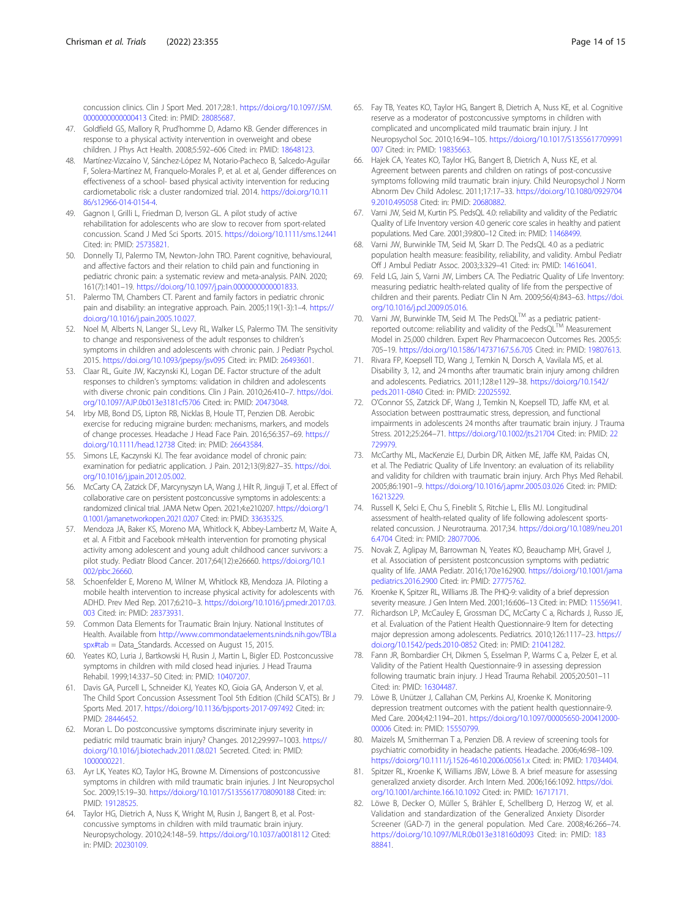<span id="page-13-0"></span>concussion clinics. Clin J Sport Med. 2017;28:1. [https://doi.org/10.1097/JSM.](https://doi.org/10.1097/JSM.0000000000000413) [0000000000000413](https://doi.org/10.1097/JSM.0000000000000413) Cited: in: PMID: [28085687](https://www.ncbi.nlm.nih.gov/pubmed/28085687).

- 47. Goldfield GS, Mallory R, Prud'homme D, Adamo KB. Gender differences in response to a physical activity intervention in overweight and obese children. J Phys Act Health. 2008;5:592–606 Cited: in: PMID: [18648123](https://www.ncbi.nlm.nih.gov/pubmed/18648123).
- 48. Martínez-Vizcaíno V, Sánchez-López M, Notario-Pacheco B, Salcedo-Aguilar F, Solera-Martínez M, Franquelo-Morales P, et al. et al, Gender differences on effectiveness of a school- based physical activity intervention for reducing cardiometabolic risk: a cluster randomized trial. 2014. [https://doi.org/10.11](https://doi.org/10.1186/s12966-014-0154-4) [86/s12966-014-0154-4](https://doi.org/10.1186/s12966-014-0154-4).
- 49. Gagnon I, Grilli L, Friedman D, Iverson GL. A pilot study of active rehabilitation for adolescents who are slow to recover from sport-related concussion. Scand J Med Sci Sports. 2015. <https://doi.org/10.1111/sms.12441> Cited: in: PMID: [25735821](https://www.ncbi.nlm.nih.gov/pubmed/25735821).
- 50. Donnelly TJ, Palermo TM, Newton-John TRO. Parent cognitive, behavioural, and affective factors and their relation to child pain and functioning in pediatric chronic pain: a systematic review and meta-analysis. PAIN. 2020; 161(7):1401–19. [https://doi.org/10.1097/j.pain.0000000000001833.](https://doi.org/10.1097/j.pain.0000000000001833)
- 51. Palermo TM, Chambers CT. Parent and family factors in pediatric chronic pain and disability: an integrative approach. Pain. 2005;119(1-3):1–4. [https://](https://doi.org/10.1016/j.pain.2005.10.027) [doi.org/10.1016/j.pain.2005.10.027.](https://doi.org/10.1016/j.pain.2005.10.027)
- 52. Noel M, Alberts N, Langer SL, Levy RL, Walker LS, Palermo TM. The sensitivity to change and responsiveness of the adult responses to children's symptoms in children and adolescents with chronic pain. J Pediatr Psychol. 2015. <https://doi.org/10.1093/jpepsy/jsv095> Cited: in: PMID: [26493601.](https://www.ncbi.nlm.nih.gov/pubmed/26493601)
- 53. Claar RL, Guite JW, Kaczynski KJ, Logan DE. Factor structure of the adult responses to children's symptoms: validation in children and adolescents with diverse chronic pain conditions. Clin J Pain. 2010;26:410–7. [https://doi.](https://doi.org/10.1097/AJP.0b013e3181cf5706) [org/10.1097/AJP.0b013e3181cf5706](https://doi.org/10.1097/AJP.0b013e3181cf5706) Cited: in: PMID: [20473048](https://www.ncbi.nlm.nih.gov/pubmed/20473048).
- 54. Irby MB, Bond DS, Lipton RB, Nicklas B, Houle TT, Penzien DB. Aerobic exercise for reducing migraine burden: mechanisms, markers, and models of change processes. Headache J Head Face Pain. 2016;56:357–69. [https://](https://doi.org/10.1111/head.12738) [doi.org/10.1111/head.12738](https://doi.org/10.1111/head.12738) Cited: in: PMID: [26643584.](https://www.ncbi.nlm.nih.gov/pubmed/26643584)
- 55. Simons LE, Kaczynski KJ. The fear avoidance model of chronic pain: examination for pediatric application. J Pain. 2012;13(9):827–35. [https://doi.](https://doi.org/10.1016/j.jpain.2012.05.002) [org/10.1016/j.jpain.2012.05.002.](https://doi.org/10.1016/j.jpain.2012.05.002)
- 56. McCarty CA, Zatzick DF, Marcynyszyn LA, Wang J, Hilt R, Jinguji T, et al. Effect of collaborative care on persistent postconcussive symptoms in adolescents: a randomized clinical trial. JAMA Netw Open. 2021;4:e210207. [https://doi.org/1](https://doi.org/10.1001/jamanetworkopen.2021.0207) [0.1001/jamanetworkopen.2021.0207](https://doi.org/10.1001/jamanetworkopen.2021.0207) Cited: in: PMID: [33635325.](https://www.ncbi.nlm.nih.gov/pubmed/33635325)
- 57. Mendoza JA, Baker KS, Moreno MA, Whitlock K, Abbey-Lambertz M, Waite A, et al. A Fitbit and Facebook mHealth intervention for promoting physical activity among adolescent and young adult childhood cancer survivors: a pilot study. Pediatr Blood Cancer. 2017;64(12):e26660. [https://doi.org/10.1](https://doi.org/10.1002/pbc.26660) [002/pbc.26660](https://doi.org/10.1002/pbc.26660).
- 58. Schoenfelder E, Moreno M, Wilner M, Whitlock KB, Mendoza JA. Piloting a mobile health intervention to increase physical activity for adolescents with ADHD. Prev Med Rep. 2017;6:210–3. [https://doi.org/10.1016/j.pmedr.2017.03.](https://doi.org/10.1016/j.pmedr.2017.03.003) [003](https://doi.org/10.1016/j.pmedr.2017.03.003) Cited: in: PMID: [28373931.](https://www.ncbi.nlm.nih.gov/pubmed/28373931)
- 59. Common Data Elements for Traumatic Brain Injury. National Institutes of Health. Available from [http://www.commondataelements.ninds.nih.gov/TBI.a](http://www.commondataelements.ninds.nih.gov/TBI.aspx#tab) [spx#tab](http://www.commondataelements.ninds.nih.gov/TBI.aspx#tab) = Data\_Standards. Accessed on August 15, 2015.
- 60. Yeates KO, Luria J, Bartkowski H, Rusin J, Martin L, Bigler ED. Postconcussive symptoms in children with mild closed head injuries. J Head Trauma Rehabil. 1999;14:337–50 Cited: in: PMID: [10407207](https://www.ncbi.nlm.nih.gov/pubmed/10407207).
- 61. Davis GA, Purcell L, Schneider KJ, Yeates KO, Gioia GA, Anderson V, et al. The Child Sport Concussion Assessment Tool 5th Edition (Child SCAT5). Br J Sports Med. 2017. <https://doi.org/10.1136/bjsports-2017-097492> Cited: in: PMID: [28446452](https://www.ncbi.nlm.nih.gov/pubmed/28446452).
- 62. Moran L. Do postconcussive symptoms discriminate injury severity in pediatric mild traumatic brain injury? Changes. 2012;29:997–1003. [https://](https://doi.org/10.1016/j.biotechadv.2011.08.021) [doi.org/10.1016/j.biotechadv.2011.08.021](https://doi.org/10.1016/j.biotechadv.2011.08.021) Secreted. Cited: in: PMID: [1000000221.](https://www.ncbi.nlm.nih.gov/pubmed/1000000221)
- 63. Ayr LK, Yeates KO, Taylor HG, Browne M. Dimensions of postconcussive symptoms in children with mild traumatic brain injuries. J Int Neuropsychol Soc. 2009;15:19–30. <https://doi.org/10.1017/S1355617708090188> Cited: in: PMID: [19128525](https://www.ncbi.nlm.nih.gov/pubmed/19128525).
- 64. Taylor HG, Dietrich A, Nuss K, Wright M, Rusin J, Bangert B, et al. Postconcussive symptoms in children with mild traumatic brain injury. Neuropsychology. 2010;24:148–59. <https://doi.org/10.1037/a0018112> Cited: in: PMID: [20230109](https://www.ncbi.nlm.nih.gov/pubmed/20230109).
- 65. Fay TB, Yeates KO, Taylor HG, Bangert B, Dietrich A, Nuss KE, et al. Cognitive reserve as a moderator of postconcussive symptoms in children with complicated and uncomplicated mild traumatic brain injury. J Int Neuropsychol Soc. 2010;16:94–105. [https://doi.org/10.1017/S1355617709991](https://doi.org/10.1017/S1355617709991007) [007](https://doi.org/10.1017/S1355617709991007) Cited: in: PMID: [19835663.](https://www.ncbi.nlm.nih.gov/pubmed/19835663)
- 66. Hajek CA, Yeates KO, Taylor HG, Bangert B, Dietrich A, Nuss KE, et al. Agreement between parents and children on ratings of post-concussive symptoms following mild traumatic brain injury. Child Neuropsychol J Norm Abnorm Dev Child Adolesc. 2011;17:17–33. [https://doi.org/10.1080/0929704](https://doi.org/10.1080/09297049.2010.495058) [9.2010.495058](https://doi.org/10.1080/09297049.2010.495058) Cited: in: PMID: [20680882](https://www.ncbi.nlm.nih.gov/pubmed/20680882).
- 67. Varni JW, Seid M, Kurtin PS. PedsQL 4.0: reliability and validity of the Pediatric Quality of Life Inventory version 4.0 generic core scales in healthy and patient populations. Med Care. 2001;39:800–12 Cited: in: PMID: [11468499](https://www.ncbi.nlm.nih.gov/pubmed/11468499).
- 68. Varni JW, Burwinkle TM, Seid M, Skarr D. The PedsQL 4.0 as a pediatric population health measure: feasibility, reliability, and validity. Ambul Pediatr Off J Ambul Pediatr Assoc. 2003;3:329–41 Cited: in: PMID: [14616041](https://www.ncbi.nlm.nih.gov/pubmed/14616041).
- 69. Feld LG, Jain S, Varni JW, Limbers CA. The Pediatric Quality of Life Inventory: measuring pediatric health-related quality of life from the perspective of children and their parents. Pediatr Clin N Am. 2009;56(4):843–63. [https://doi.](https://doi.org/10.1016/j.pcl.2009.05.016) [org/10.1016/j.pcl.2009.05.016](https://doi.org/10.1016/j.pcl.2009.05.016).
- 70. Varni JW, Burwinkle TM, Seid M. The PedsQL<sup>TM</sup> as a pediatric patientreported outcome: reliability and validity of the PedsQL<sup>TM</sup> Measurement Model in 25,000 children. Expert Rev Pharmacoecon Outcomes Res. 2005;5: 705–19. <https://doi.org/10.1586/14737167.5.6.705> Cited: in: PMID: [19807613.](https://www.ncbi.nlm.nih.gov/pubmed/19807613)
- 71. Rivara FP, Koepsell TD, Wang J, Temkin N, Dorsch A, Vavilala MS, et al. Disability 3, 12, and 24 months after traumatic brain injury among children and adolescents. Pediatrics. 2011;128:e1129–38. [https://doi.org/10.1542/](https://doi.org/10.1542/peds.2011-0840) [peds.2011-0840](https://doi.org/10.1542/peds.2011-0840) Cited: in: PMID: [22025592.](https://www.ncbi.nlm.nih.gov/pubmed/22025592)
- 72. O'Connor SS, Zatzick DF, Wang J, Temkin N, Koepsell TD, Jaffe KM, et al. Association between posttraumatic stress, depression, and functional impairments in adolescents 24 months after traumatic brain injury. J Trauma Stress. 2012;25:264–71. <https://doi.org/10.1002/jts.21704> Cited: in: PMID: [22](https://www.ncbi.nlm.nih.gov/pubmed/22729979) [729979](https://www.ncbi.nlm.nih.gov/pubmed/22729979).
- 73. McCarthy ML, MacKenzie EJ, Durbin DR, Aitken ME, Jaffe KM, Paidas CN, et al. The Pediatric Quality of Life Inventory: an evaluation of its reliability and validity for children with traumatic brain injury. Arch Phys Med Rehabil. 2005;86:1901–9. <https://doi.org/10.1016/j.apmr.2005.03.026> Cited: in: PMID: [16213229](https://www.ncbi.nlm.nih.gov/pubmed/16213229).
- 74. Russell K, Selci E, Chu S, Fineblit S, Ritchie L, Ellis MJ. Longitudinal assessment of health-related quality of life following adolescent sportsrelated concussion. J Neurotrauma. 2017;34. [https://doi.org/10.1089/neu.201](https://doi.org/10.1089/neu.2016.4704) [6.4704](https://doi.org/10.1089/neu.2016.4704) Cited: in: PMID: [28077006.](https://www.ncbi.nlm.nih.gov/pubmed/28077006)
- 75. Novak Z, Aglipay M, Barrowman N, Yeates KO, Beauchamp MH, Gravel J, et al. Association of persistent postconcussion symptoms with pediatric quality of life. JAMA Pediatr. 2016;170:e162900. [https://doi.org/10.1001/jama](https://doi.org/10.1001/jamapediatrics.2016.2900) [pediatrics.2016.2900](https://doi.org/10.1001/jamapediatrics.2016.2900) Cited: in: PMID: [27775762](https://www.ncbi.nlm.nih.gov/pubmed/27775762).
- 76. Kroenke K, Spitzer RL, Williams JB. The PHQ-9: validity of a brief depression severity measure. J Gen Intern Med. 2001;16:606–13 Cited: in: PMID: [11556941](https://www.ncbi.nlm.nih.gov/pubmed/11556941).
- 77. Richardson LP, McCauley E, Grossman DC, McCarty C a, Richards J, Russo JE, et al. Evaluation of the Patient Health Questionnaire-9 Item for detecting major depression among adolescents. Pediatrics. 2010;126:1117–23. [https://](https://doi.org/10.1542/peds.2010-0852) [doi.org/10.1542/peds.2010-0852](https://doi.org/10.1542/peds.2010-0852) Cited: in: PMID: [21041282](https://www.ncbi.nlm.nih.gov/pubmed/21041282).
- 78. Fann JR, Bombardier CH, Dikmen S, Esselman P, Warms C a, Pelzer E, et al. Validity of the Patient Health Questionnaire-9 in assessing depression following traumatic brain injury. J Head Trauma Rehabil. 2005;20:501–11 Cited: in: PMID: [16304487](https://www.ncbi.nlm.nih.gov/pubmed/16304487).
- 79. Löwe B, Unützer J, Callahan CM, Perkins AJ, Kroenke K. Monitoring depression treatment outcomes with the patient health questionnaire-9. Med Care. 2004;42:1194–201. [https://doi.org/10.1097/00005650-200412000-](https://doi.org/10.1097/00005650-200412000-00006) [00006](https://doi.org/10.1097/00005650-200412000-00006) Cited: in: PMID: [15550799.](https://www.ncbi.nlm.nih.gov/pubmed/15550799)
- 80. Maizels M, Smitherman T a, Penzien DB. A review of screening tools for psychiatric comorbidity in headache patients. Headache. 2006;46:98–109. <https://doi.org/10.1111/j.1526-4610.2006.00561.x> Cited: in: PMID: [17034404](https://www.ncbi.nlm.nih.gov/pubmed/17034404).
- 81. Spitzer RL, Kroenke K, Williams JBW, Löwe B. A brief measure for assessing generalized anxiety disorder. Arch Intern Med. 2006;166:1092. [https://doi.](https://doi.org/10.1001/archinte.166.10.1092) [org/10.1001/archinte.166.10.1092](https://doi.org/10.1001/archinte.166.10.1092) Cited: in: PMID: [16717171](https://www.ncbi.nlm.nih.gov/pubmed/16717171).
- 82. Löwe B, Decker O, Müller S, Brähler E, Schellberg D, Herzog W, et al. Validation and standardization of the Generalized Anxiety Disorder Screener (GAD-7) in the general population. Med Care. 2008;46:266–74. <https://doi.org/10.1097/MLR.0b013e318160d093> Cited: in: PMID: [183](https://www.ncbi.nlm.nih.gov/pubmed/18388841) [88841](https://www.ncbi.nlm.nih.gov/pubmed/18388841).